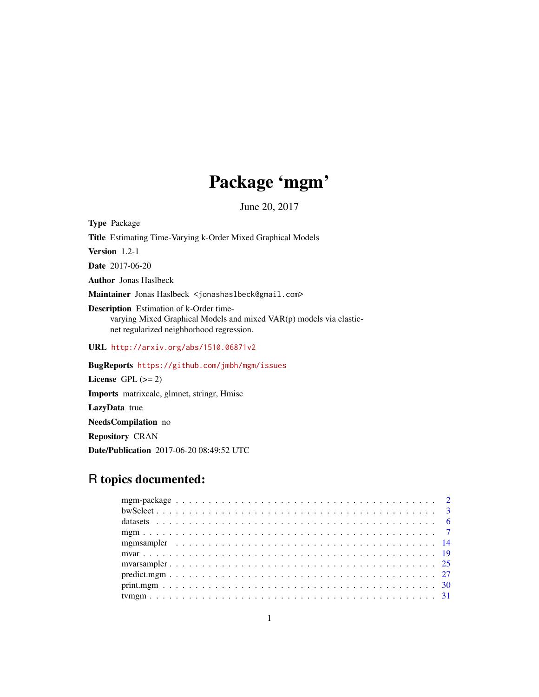# Package 'mgm'

June 20, 2017

Type Package Title Estimating Time-Varying k-Order Mixed Graphical Models Version 1.2-1 Date 2017-06-20 Author Jonas Haslbeck Maintainer Jonas Haslbeck <jonashaslbeck@gmail.com> Description Estimation of k-Order timevarying Mixed Graphical Models and mixed VAR(p) models via elasticnet regularized neighborhood regression. URL <http://arxiv.org/abs/1510.06871v2> BugReports <https://github.com/jmbh/mgm/issues> License GPL  $(>= 2)$ 

Imports matrixcalc, glmnet, stringr, Hmisc LazyData true NeedsCompilation no Repository CRAN

Date/Publication 2017-06-20 08:49:52 UTC

## R topics documented: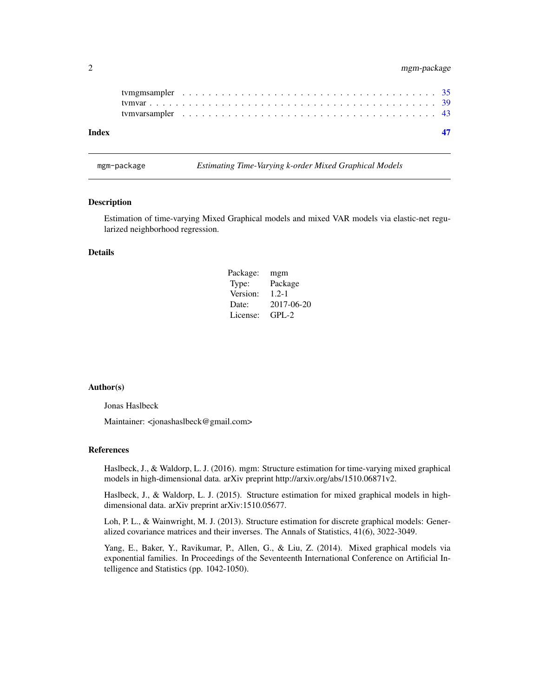#### <span id="page-1-0"></span>2 mgm-package

| Index |  |  |  |  |  |  |  |  |  |  |  |  |  |  |  |  |  |  |  |
|-------|--|--|--|--|--|--|--|--|--|--|--|--|--|--|--|--|--|--|--|
|       |  |  |  |  |  |  |  |  |  |  |  |  |  |  |  |  |  |  |  |
|       |  |  |  |  |  |  |  |  |  |  |  |  |  |  |  |  |  |  |  |
|       |  |  |  |  |  |  |  |  |  |  |  |  |  |  |  |  |  |  |  |

mgm-package *Estimating Time-Varying k-order Mixed Graphical Models*

#### Description

Estimation of time-varying Mixed Graphical models and mixed VAR models via elastic-net regularized neighborhood regression.

#### Details

| Package: | mgm        |
|----------|------------|
| Type:    | Package    |
| Version: | $1.2 - 1$  |
| Date:    | 2017-06-20 |
| License: | $GPL-2$    |

#### Author(s)

Jonas Haslbeck

Maintainer: <jonashaslbeck@gmail.com>

#### References

Haslbeck, J., & Waldorp, L. J. (2016). mgm: Structure estimation for time-varying mixed graphical models in high-dimensional data. arXiv preprint http://arxiv.org/abs/1510.06871v2.

Haslbeck, J., & Waldorp, L. J. (2015). Structure estimation for mixed graphical models in highdimensional data. arXiv preprint arXiv:1510.05677.

Loh, P. L., & Wainwright, M. J. (2013). Structure estimation for discrete graphical models: Generalized covariance matrices and their inverses. The Annals of Statistics, 41(6), 3022-3049.

Yang, E., Baker, Y., Ravikumar, P., Allen, G., & Liu, Z. (2014). Mixed graphical models via exponential families. In Proceedings of the Seventeenth International Conference on Artificial Intelligence and Statistics (pp. 1042-1050).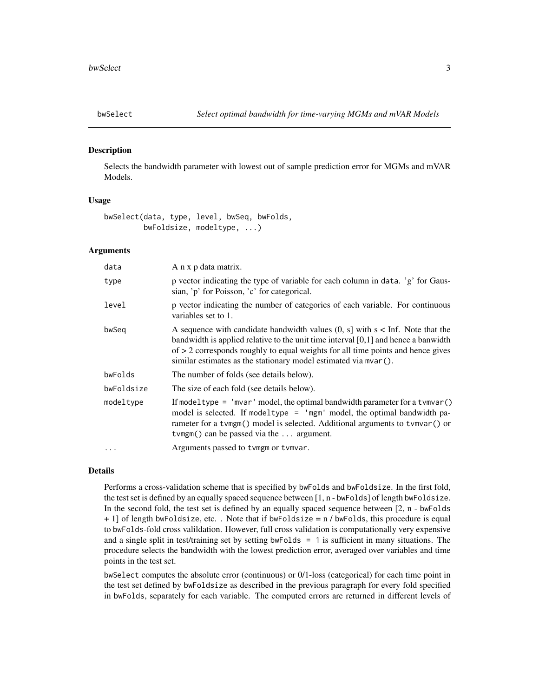<span id="page-2-0"></span>

#### Description

Selects the bandwidth parameter with lowest out of sample prediction error for MGMs and mVAR Models.

#### Usage

bwSelect(data, type, level, bwSeq, bwFolds, bwFoldsize, modeltype, ...)

#### Arguments

| data       | A n x p data matrix.                                                                                                                                                                                                                                                                                                              |
|------------|-----------------------------------------------------------------------------------------------------------------------------------------------------------------------------------------------------------------------------------------------------------------------------------------------------------------------------------|
| type       | p vector indicating the type of variable for each column in data. 'g' for Gaus-<br>sian, 'p' for Poisson, 'c' for categorical.                                                                                                                                                                                                    |
| level      | p vector indicating the number of categories of each variable. For continuous<br>variables set to 1.                                                                                                                                                                                                                              |
| bwSeq      | A sequence with candidate bandwidth values $(0, s]$ with $s <$ Inf. Note that the<br>bandwidth is applied relative to the unit time interval $[0,1]$ and hence a banwidth<br>of $> 2$ corresponds roughly to equal weights for all time points and hence gives<br>similar estimates as the stationary model estimated via mvar(). |
| bwFolds    | The number of folds (see details below).                                                                                                                                                                                                                                                                                          |
| bwFoldsize | The size of each fold (see details below).                                                                                                                                                                                                                                                                                        |
| modeltype  | If modeltype = 'mvar' model, the optimal bandwidth parameter for a tymvar()<br>model is selected. If modeltype = 'mgm' model, the optimal bandwidth pa-<br>rameter for a tvmgm() model is selected. Additional arguments to tvmvar() or<br>$t \vee mgm()$ can be passed via the  argument.                                        |
| $\ddotsc$  | Arguments passed to tymgm or tymvar.                                                                                                                                                                                                                                                                                              |

#### Details

Performs a cross-validation scheme that is specified by bwFolds and bwFoldsize. In the first fold, the test set is defined by an equally spaced sequence between [1, n - bwFolds] of length bwFoldsize. In the second fold, the test set is defined by an equally spaced sequence between [2, n - bwFolds + 1] of length bwFoldsize, etc. . Note that if bwFoldsize = n / bwFolds, this procedure is equal to bwFolds-fold cross valildation. However, full cross validation is computationally very expensive and a single split in test/training set by setting bwFolds  $= 1$  is sufficient in many situations. The procedure selects the bandwidth with the lowest prediction error, averaged over variables and time points in the test set.

bwSelect computes the absolute error (continuous) or 0/1-loss (categorical) for each time point in the test set defined by bwFoldsize as described in the previous paragraph for every fold specified in bwFolds, separately for each variable. The computed errors are returned in different levels of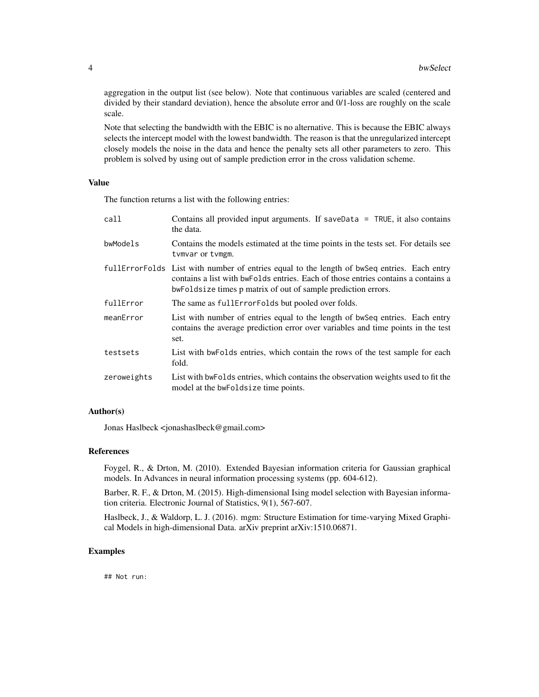aggregation in the output list (see below). Note that continuous variables are scaled (centered and divided by their standard deviation), hence the absolute error and 0/1-loss are roughly on the scale scale.

Note that selecting the bandwidth with the EBIC is no alternative. This is because the EBIC always selects the intercept model with the lowest bandwidth. The reason is that the unregularized intercept closely models the noise in the data and hence the penalty sets all other parameters to zero. This problem is solved by using out of sample prediction error in the cross validation scheme.

#### Value

The function returns a list with the following entries:

| call        | Contains all provided input arguments. If saveData = TRUE, it also contains<br>the data.                                                                                                                                   |
|-------------|----------------------------------------------------------------------------------------------------------------------------------------------------------------------------------------------------------------------------|
| bwModels    | Contains the models estimated at the time points in the tests set. For details see<br>tymvar or tymgm.                                                                                                                     |
|             | full Error Folds List with number of entries equal to the length of bwseq entries. Each entry<br>contains a list with bwFolds entries. Each of those entries contains a contains a<br>bwe but of sample prediction errors. |
| fullError   | The same as full Error Folds but pooled over folds.                                                                                                                                                                        |
| meanError   | List with number of entries equal to the length of bwseq entries. Each entry<br>contains the average prediction error over variables and time points in the test<br>set.                                                   |
| testsets    | List with bwFolds entries, which contain the rows of the test sample for each<br>fold.                                                                                                                                     |
| zeroweights | List with bwFolds entries, which contains the observation weights used to fit the<br>model at the bwFoldsize time points.                                                                                                  |

#### Author(s)

Jonas Haslbeck <jonashaslbeck@gmail.com>

#### References

Foygel, R., & Drton, M. (2010). Extended Bayesian information criteria for Gaussian graphical models. In Advances in neural information processing systems (pp. 604-612).

Barber, R. F., & Drton, M. (2015). High-dimensional Ising model selection with Bayesian information criteria. Electronic Journal of Statistics, 9(1), 567-607.

Haslbeck, J., & Waldorp, L. J. (2016). mgm: Structure Estimation for time-varying Mixed Graphical Models in high-dimensional Data. arXiv preprint arXiv:1510.06871.

#### Examples

## Not run: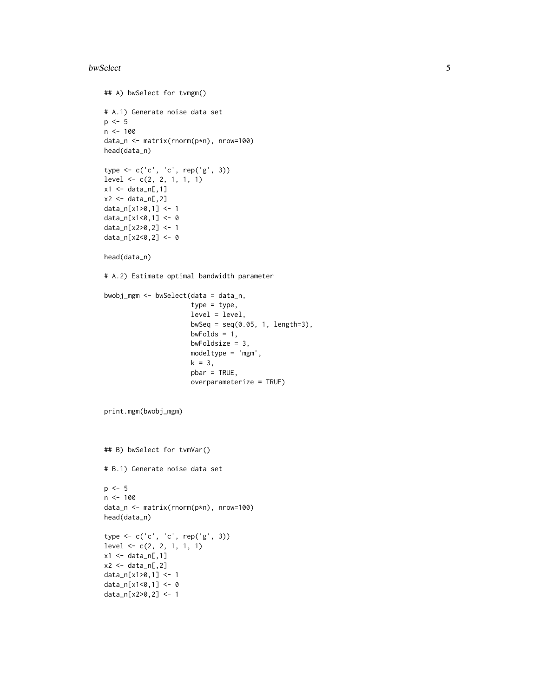#### bwSelect 5

```
## A) bwSelect for tvmgm()
# A.1) Generate noise data set
p \le -5n < - 100data_n <- matrix(rnorm(p*n), nrow=100)
head(data_n)
type <- c('c', 'c', rep('g', 3))
level <- c(2, 2, 1, 1, 1)
x1 \leftarrow data_n[, 1]x2 \leftarrow data_n[, 2]data_n[x1>0,1] <- 1
data_n[x1<0,1] <- 0
data_n[x2>0,2] <- 1
data_n[x2<0,2] <- 0
head(data_n)
# A.2) Estimate optimal bandwidth parameter
bwobj_mgm <- bwSelect(data = data_n,
                       type = type,
                       level = level,
                       bwSeq = seq(0.05, 1, length=3),bwFolds = 1,
                       bwFoldsize = 3,
                       modeltype = 'mgm',
                       k = 3,pbar = TRUE,
                       overparameterize = TRUE)
print.mgm(bwobj_mgm)
## B) bwSelect for tvmVar()
# B.1) Generate noise data set
p \le -5n < - 100data_n <- matrix(rnorm(p*n), nrow=100)
head(data_n)
type <- c('c', 'c', rep('g', 3))
level \leq c(2, 2, 1, 1, 1)x1 \leftarrow data_n[, 1]x2 \leq - data_n[,2]
data_n[x1>0,1] <- 1
data_n[x1<0,1] <- 0
data_n[x2>0,2] <- 1
```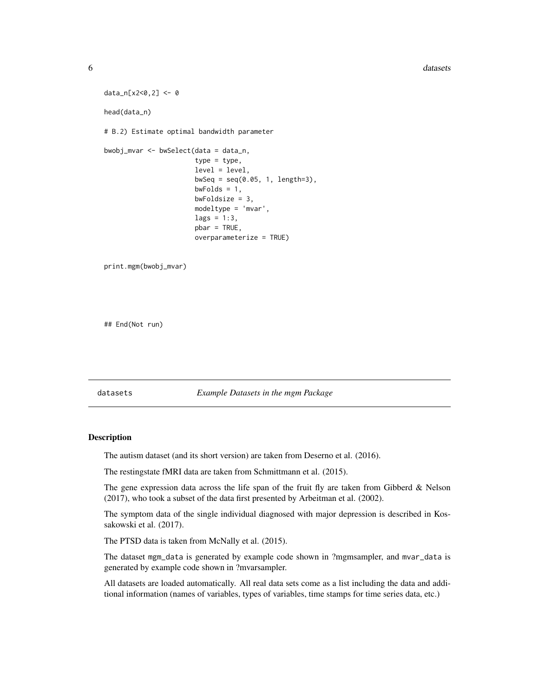#### **6** datasets **6** datasets **6** datasets **6** datasets **6** datasets **6** datasets **6** datasets **6** datasets **6** datasets **6** datasets **6** datasets **6** datasets **6** datasets **6** datasets **6** datasets **6** datasets **6** datasets

```
data_n[x2<0,2] <- 0
head(data_n)
# B.2) Estimate optimal bandwidth parameter
bwobj_mvar <- bwSelect(data = data_n,
                       type = type,
                       level = level,
                       bwseq = seq(0.05, 1, length=3),bwFolds = 1,
                       bwFoldsize = 3,
                       modeltype = 'mvar',
                       lags = 1:3,pbar = TRUE,
                       overparameterize = TRUE)
print.mgm(bwobj_mvar)
```
## End(Not run)

datasets *Example Datasets in the mgm Package*

#### Description

The autism dataset (and its short version) are taken from Deserno et al. (2016).

The restingstate fMRI data are taken from Schmittmann et al. (2015).

The gene expression data across the life span of the fruit fly are taken from Gibberd  $\&$  Nelson (2017), who took a subset of the data first presented by Arbeitman et al. (2002).

The symptom data of the single individual diagnosed with major depression is described in Kossakowski et al. (2017).

The PTSD data is taken from McNally et al. (2015).

The dataset mgm\_data is generated by example code shown in ?mgmsampler, and mvar\_data is generated by example code shown in ?mvarsampler.

All datasets are loaded automatically. All real data sets come as a list including the data and additional information (names of variables, types of variables, time stamps for time series data, etc.)

<span id="page-5-0"></span>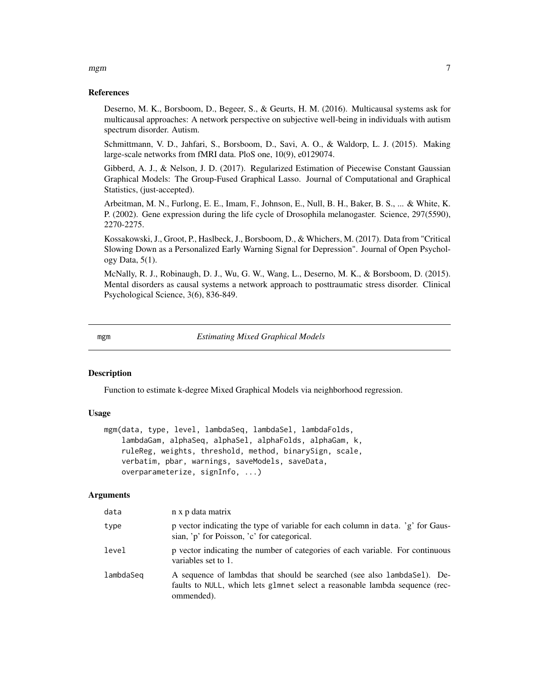#### <span id="page-6-0"></span>References

Deserno, M. K., Borsboom, D., Begeer, S., & Geurts, H. M. (2016). Multicausal systems ask for multicausal approaches: A network perspective on subjective well-being in individuals with autism spectrum disorder. Autism.

Schmittmann, V. D., Jahfari, S., Borsboom, D., Savi, A. O., & Waldorp, L. J. (2015). Making large-scale networks from fMRI data. PloS one, 10(9), e0129074.

Gibberd, A. J., & Nelson, J. D. (2017). Regularized Estimation of Piecewise Constant Gaussian Graphical Models: The Group-Fused Graphical Lasso. Journal of Computational and Graphical Statistics, (just-accepted).

Arbeitman, M. N., Furlong, E. E., Imam, F., Johnson, E., Null, B. H., Baker, B. S., ... & White, K. P. (2002). Gene expression during the life cycle of Drosophila melanogaster. Science, 297(5590), 2270-2275.

Kossakowski, J., Groot, P., Haslbeck, J., Borsboom, D., & Whichers, M. (2017). Data from "Critical Slowing Down as a Personalized Early Warning Signal for Depression". Journal of Open Psychology Data,  $5(1)$ .

McNally, R. J., Robinaugh, D. J., Wu, G. W., Wang, L., Deserno, M. K., & Borsboom, D. (2015). Mental disorders as causal systems a network approach to posttraumatic stress disorder. Clinical Psychological Science, 3(6), 836-849.

mgm *Estimating Mixed Graphical Models*

#### Description

Function to estimate k-degree Mixed Graphical Models via neighborhood regression.

#### Usage

```
mgm(data, type, level, lambdaSeq, lambdaSel, lambdaFolds,
   lambdaGam, alphaSeq, alphaSel, alphaFolds, alphaGam, k,
   ruleReg, weights, threshold, method, binarySign, scale,
   verbatim, pbar, warnings, saveModels, saveData,
   overparameterize, signInfo, ...)
```
#### Arguments

| data      | n x p data matrix                                                                                                                                                     |
|-----------|-----------------------------------------------------------------------------------------------------------------------------------------------------------------------|
| type      | p vector indicating the type of variable for each column in data. 'g' for Gaus-<br>sian, 'p' for Poisson, 'c' for categorical.                                        |
| level     | p vector indicating the number of categories of each variable. For continuous<br>variables set to 1.                                                                  |
| lambdaSeq | A sequence of lambdas that should be searched (see also lambda Sel). De-<br>faults to NULL, which lets glmnet select a reasonable lambda sequence (rec-<br>ommended). |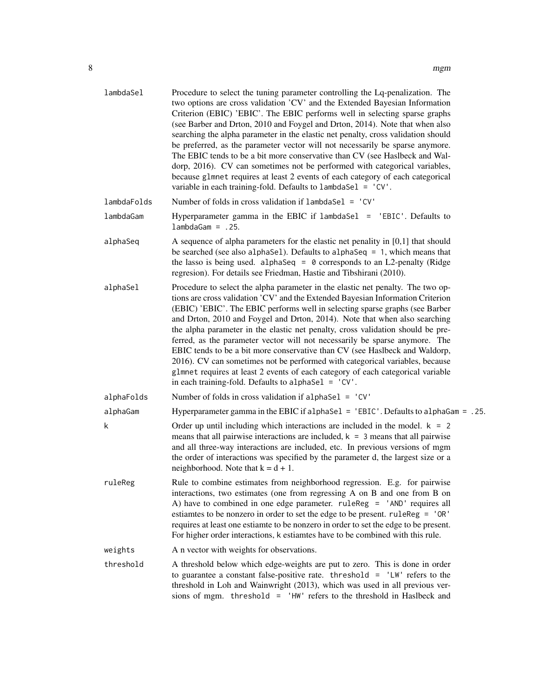| lambdaSel   | Procedure to select the tuning parameter controlling the Lq-penalization. The<br>two options are cross validation 'CV' and the Extended Bayesian Information<br>Criterion (EBIC) 'EBIC'. The EBIC performs well in selecting sparse graphs<br>(see Barber and Drton, 2010 and Foygel and Drton, 2014). Note that when also<br>searching the alpha parameter in the elastic net penalty, cross validation should<br>be preferred, as the parameter vector will not necessarily be sparse anymore.<br>The EBIC tends to be a bit more conservative than CV (see Haslbeck and Wal-<br>dorp, 2016). CV can sometimes not be performed with categorical variables,<br>because glmnet requires at least 2 events of each category of each categorical<br>variable in each training-fold. Defaults to lambdaSel = 'CV'. |
|-------------|------------------------------------------------------------------------------------------------------------------------------------------------------------------------------------------------------------------------------------------------------------------------------------------------------------------------------------------------------------------------------------------------------------------------------------------------------------------------------------------------------------------------------------------------------------------------------------------------------------------------------------------------------------------------------------------------------------------------------------------------------------------------------------------------------------------|
| lambdaFolds | Number of folds in cross validation if lambdaSel = 'CV'                                                                                                                                                                                                                                                                                                                                                                                                                                                                                                                                                                                                                                                                                                                                                          |
| lambdaGam   | Hyperparameter gamma in the EBIC if lambdaSel = 'EBIC'. Defaults to<br>$lambda Gam = .25.$                                                                                                                                                                                                                                                                                                                                                                                                                                                                                                                                                                                                                                                                                                                       |
| alphaSeq    | A sequence of alpha parameters for the elastic net penality in $[0,1]$ that should<br>be searched (see also alphaSel). Defaults to alphaSeq = $1$ , which means that<br>the lasso is being used. alphaSeq = $\theta$ corresponds to an L2-penalty (Ridge<br>regresion). For details see Friedman, Hastie and Tibshirani (2010).                                                                                                                                                                                                                                                                                                                                                                                                                                                                                  |
| alphaSel    | Procedure to select the alpha parameter in the elastic net penalty. The two op-<br>tions are cross validation 'CV' and the Extended Bayesian Information Criterion<br>(EBIC) 'EBIC'. The EBIC performs well in selecting sparse graphs (see Barber<br>and Drton, 2010 and Foygel and Drton, 2014). Note that when also searching<br>the alpha parameter in the elastic net penalty, cross validation should be pre-<br>ferred, as the parameter vector will not necessarily be sparse anymore. The<br>EBIC tends to be a bit more conservative than CV (see Haslbeck and Waldorp,<br>2016). CV can sometimes not be performed with categorical variables, because<br>glmnet requires at least 2 events of each category of each categorical variable<br>in each training-fold. Defaults to alphaSel = $°CV'$ .   |
| alphaFolds  | Number of folds in cross validation if alphaSel = $°CV'$                                                                                                                                                                                                                                                                                                                                                                                                                                                                                                                                                                                                                                                                                                                                                         |
| alphaGam    | Hyperparameter gamma in the EBIC if alphaSel = 'EBIC'. Defaults to alphaGam = .25.                                                                                                                                                                                                                                                                                                                                                                                                                                                                                                                                                                                                                                                                                                                               |
| k           | Order up until including which interactions are included in the model. $k = 2$<br>means that all pairwise interactions are included, $k = 3$ means that all pairwise<br>and all three-way interactions are included, etc. In previous versions of mgm<br>the order of interactions was specified by the parameter d, the largest size or a<br>neighborhood. Note that $k = d + 1$ .                                                                                                                                                                                                                                                                                                                                                                                                                              |
| ruleReg     | Rule to combine estimates from neighborhood regression. E.g. for pairwise<br>interactions, two estimates (one from regressing A on B and one from B on<br>A) have to combined in one edge parameter. ruleReg = 'AND' requires all<br>estiamtes to be nonzero in order to set the edge to be present. ruleReg = 'OR'<br>requires at least one estiamte to be nonzero in order to set the edge to be present.<br>For higher order interactions, k estiamtes have to be combined with this rule.                                                                                                                                                                                                                                                                                                                    |
| weights     | A n vector with weights for observations.                                                                                                                                                                                                                                                                                                                                                                                                                                                                                                                                                                                                                                                                                                                                                                        |
| threshold   | A threshold below which edge-weights are put to zero. This is done in order<br>to guarantee a constant false-positive rate. threshold = $'LW'$ refers to the<br>threshold in Loh and Wainwright (2013), which was used in all previous ver-<br>sions of mgm. threshold = 'HW' refers to the threshold in Haslbeck and                                                                                                                                                                                                                                                                                                                                                                                                                                                                                            |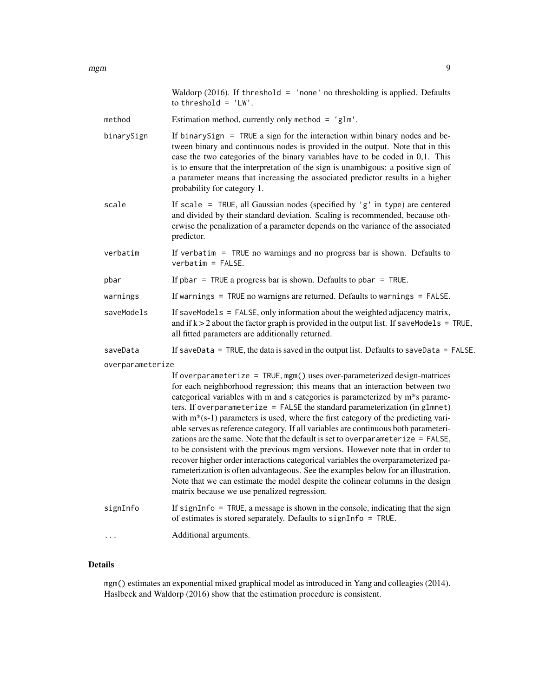|                  | Waldorp $(2016)$ . If threshold = 'none' no thresholding is applied. Defaults<br>to threshold = $'LW'$ .                                                                                                                                                                                                                                                                                                                                                                                                                                                                                                                                                                                                                                                                                                                                                                                                                                                                                |
|------------------|-----------------------------------------------------------------------------------------------------------------------------------------------------------------------------------------------------------------------------------------------------------------------------------------------------------------------------------------------------------------------------------------------------------------------------------------------------------------------------------------------------------------------------------------------------------------------------------------------------------------------------------------------------------------------------------------------------------------------------------------------------------------------------------------------------------------------------------------------------------------------------------------------------------------------------------------------------------------------------------------|
| method           | Estimation method, currently only method = $'glm'$ .                                                                                                                                                                                                                                                                                                                                                                                                                                                                                                                                                                                                                                                                                                                                                                                                                                                                                                                                    |
| binarySign       | If binary Sign $=$ TRUE a sign for the interaction within binary nodes and be-<br>tween binary and continuous nodes is provided in the output. Note that in this<br>case the two categories of the binary variables have to be coded in 0,1. This<br>is to ensure that the interpretation of the sign is unambigous: a positive sign of<br>a parameter means that increasing the associated predictor results in a higher<br>probability for category 1.                                                                                                                                                                                                                                                                                                                                                                                                                                                                                                                                |
| scale            | If scale = TRUE, all Gaussian nodes (specified by 'g' in type) are centered<br>and divided by their standard deviation. Scaling is recommended, because oth-<br>erwise the penalization of a parameter depends on the variance of the associated<br>predictor.                                                                                                                                                                                                                                                                                                                                                                                                                                                                                                                                                                                                                                                                                                                          |
| verbatim         | If verbatim = $TRUE$ no warnings and no progress bar is shown. Defaults to<br>$verbatim = FALSE.$                                                                                                                                                                                                                                                                                                                                                                                                                                                                                                                                                                                                                                                                                                                                                                                                                                                                                       |
| pbar             | If pbar = TRUE a progress bar is shown. Defaults to pbar = TRUE.                                                                                                                                                                                                                                                                                                                                                                                                                                                                                                                                                                                                                                                                                                                                                                                                                                                                                                                        |
| warnings         | If warnings = TRUE no warnigns are returned. Defaults to warnings = $FALSE$ .                                                                                                                                                                                                                                                                                                                                                                                                                                                                                                                                                                                                                                                                                                                                                                                                                                                                                                           |
| saveModels       | If saveModels = FALSE, only information about the weighted adjacency matrix,<br>and if $k > 2$ about the factor graph is provided in the output list. If save Models = TRUE,<br>all fitted parameters are additionally returned.                                                                                                                                                                                                                                                                                                                                                                                                                                                                                                                                                                                                                                                                                                                                                        |
| saveData         | If saveData = TRUE, the data is saved in the output list. Defaults to saveData = FALSE.                                                                                                                                                                                                                                                                                                                                                                                                                                                                                                                                                                                                                                                                                                                                                                                                                                                                                                 |
| overparameterize | If overparameterize = TRUE, mgm() uses over-parameterized design-matrices<br>for each neighborhood regression; this means that an interaction between two<br>categorical variables with m and s categories is parameterized by m*s parame-<br>ters. If overparameterize = FALSE the standard parameterization (in glmnet)<br>with $m*(s-1)$ parameters is used, where the first category of the predicting vari-<br>able serves as reference category. If all variables are continuous both parameteri-<br>zations are the same. Note that the default is set to overparameterize = FALSE,<br>to be consistent with the previous mgm versions. However note that in order to<br>recover higher order interactions categorical variables the overparameterized pa-<br>rameterization is often advantageous. See the examples below for an illustration.<br>Note that we can estimate the model despite the colinear columns in the design<br>matrix because we use penalized regression. |
| signInfo         | If signInfo = $TRUE$ , a message is shown in the console, indicating that the sign<br>of estimates is stored separately. Defaults to signInfo = TRUE.                                                                                                                                                                                                                                                                                                                                                                                                                                                                                                                                                                                                                                                                                                                                                                                                                                   |
| $\cdots$         | Additional arguments.                                                                                                                                                                                                                                                                                                                                                                                                                                                                                                                                                                                                                                                                                                                                                                                                                                                                                                                                                                   |
|                  |                                                                                                                                                                                                                                                                                                                                                                                                                                                                                                                                                                                                                                                                                                                                                                                                                                                                                                                                                                                         |

#### Details

mgm() estimates an exponential mixed graphical model as introduced in Yang and colleagies (2014). Haslbeck and Waldorp (2016) show that the estimation procedure is consistent.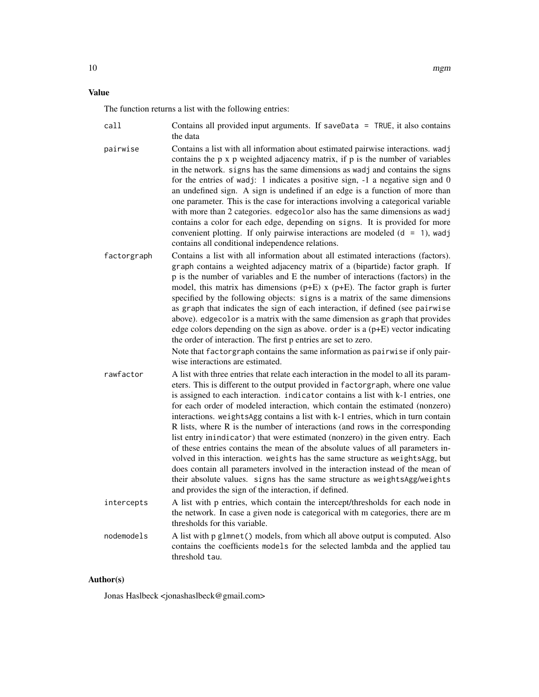#### Value

The function returns a list with the following entries:

| call     | Contains all provided input arguments. If saveData = $TRUE$ , it also contains<br>the data                                                                                                                                                                                                                                                                                                                                                                                                                                                                                                                                                                                                                                                                                                                       |
|----------|------------------------------------------------------------------------------------------------------------------------------------------------------------------------------------------------------------------------------------------------------------------------------------------------------------------------------------------------------------------------------------------------------------------------------------------------------------------------------------------------------------------------------------------------------------------------------------------------------------------------------------------------------------------------------------------------------------------------------------------------------------------------------------------------------------------|
| pairwise | Contains a list with all information about estimated pairwise interactions. wadj<br>contains the p x p weighted adjacency matrix, if p is the number of variables<br>in the network, signs has the same dimensions as wadj and contains the signs<br>for the entries of wadj: 1 indicates a positive sign, $-1$ a negative sign and 0<br>an undefined sign. A sign is undefined if an edge is a function of more than<br>one parameter. This is the case for interactions involving a categorical variable<br>with more than 2 categories. edge color also has the same dimensions as wadj<br>contains a color for each edge, depending on signs. It is provided for more<br>convenient plotting. If only pairwise interactions are modeled $(d = 1)$ , wadj<br>contains all conditional independence relations. |

factorgraph Contains a list with all information about all estimated interactions (factors). graph contains a weighted adjacency matrix of a (bipartide) factor graph. If p is the number of variables and E the number of interactions (factors) in the model, this matrix has dimensions  $(p+E)$  x  $(p+E)$ . The factor graph is furter specified by the following objects: signs is a matrix of the same dimensions as graph that indicates the sign of each interaction, if defined (see pairwise above). edgecolor is a matrix with the same dimension as graph that provides edge colors depending on the sign as above. order is a (p+E) vector indicating the order of interaction. The first p entries are set to zero.

> Note that factorgraph contains the same information as pairwise if only pairwise interactions are estimated.

- rawfactor A list with three entries that relate each interaction in the model to all its parameters. This is different to the output provided in factorgraph, where one value is assigned to each interaction. indicator contains a list with k-1 entries, one for each order of modeled interaction, which contain the estimated (nonzero) interactions. weightsAgg contains a list with k-1 entries, which in turn contain R lists, where R is the number of interactions (and rows in the corresponding list entry inindicator) that were estimated (nonzero) in the given entry. Each of these entries contains the mean of the absolute values of all parameters involved in this interaction. weights has the same structure as weightsAgg, but does contain all parameters involved in the interaction instead of the mean of their absolute values. signs has the same structure as weightsAgg/weights and provides the sign of the interaction, if defined.
- intercepts A list with p entries, which contain the intercept/thresholds for each node in the network. In case a given node is categorical with m categories, there are m thresholds for this variable.
- nodemodels A list with p glmnet() models, from which all above output is computed. Also contains the coefficients models for the selected lambda and the applied tau threshold tau.

#### Author(s)

Jonas Haslbeck <jonashaslbeck@gmail.com>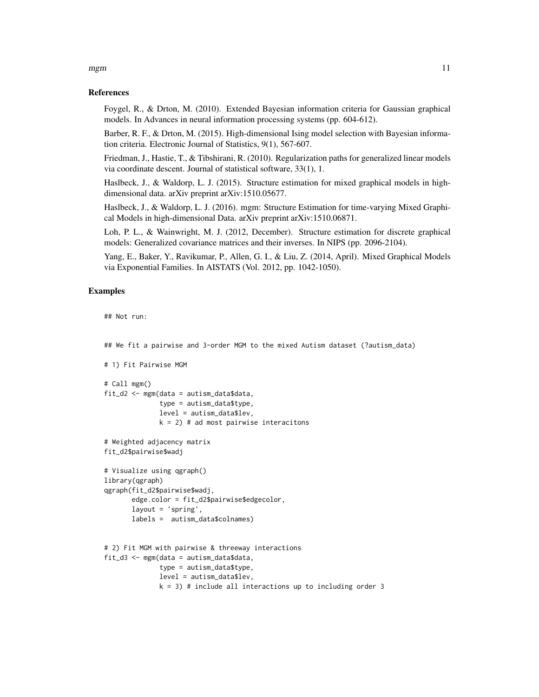### mgm the contract of the contract of the contract of the contract of the contract of the contract of the contract of the contract of the contract of the contract of the contract of the contract of the contract of the contra

#### References

Foygel, R., & Drton, M. (2010). Extended Bayesian information criteria for Gaussian graphical models. In Advances in neural information processing systems (pp. 604-612).

Barber, R. F., & Drton, M. (2015). High-dimensional Ising model selection with Bayesian information criteria. Electronic Journal of Statistics, 9(1), 567-607.

Friedman, J., Hastie, T., & Tibshirani, R. (2010). Regularization paths for generalized linear models via coordinate descent. Journal of statistical software, 33(1), 1.

Haslbeck, J., & Waldorp, L. J. (2015). Structure estimation for mixed graphical models in highdimensional data. arXiv preprint arXiv:1510.05677.

Haslbeck, J., & Waldorp, L. J. (2016). mgm: Structure Estimation for time-varying Mixed Graphical Models in high-dimensional Data. arXiv preprint arXiv:1510.06871.

Loh, P. L., & Wainwright, M. J. (2012, December). Structure estimation for discrete graphical models: Generalized covariance matrices and their inverses. In NIPS (pp. 2096-2104).

Yang, E., Baker, Y., Ravikumar, P., Allen, G. I., & Liu, Z. (2014, April). Mixed Graphical Models via Exponential Families. In AISTATS (Vol. 2012, pp. 1042-1050).

#### Examples

```
## Not run:
## We fit a pairwise and 3-order MGM to the mixed Autism dataset (?autism_data)
# 1) Fit Pairwise MGM
# Call mgm()
fit_d2 <- mgm(data = autism_data$data,
              type = autism_data$type,
              level = autism_data$lev,
              k = 2) # ad most pairwise interacitons
# Weighted adjacency matrix
fit_d2$pairwise$wadj
# Visualize using qgraph()
library(qgraph)
qgraph(fit_d2$pairwise$wadj,
       edge.color = fit_d2$pairwise$edgecolor,
       layout = 'spring',
       labels = autism_data$colnames)
# 2) Fit MGM with pairwise & threeway interactions
fit_d3 <- mgm(data = autism_data$data,
              type = autism_data$type,
              level = autism_data$lev,
              k = 3) # include all interactions up to including order 3
```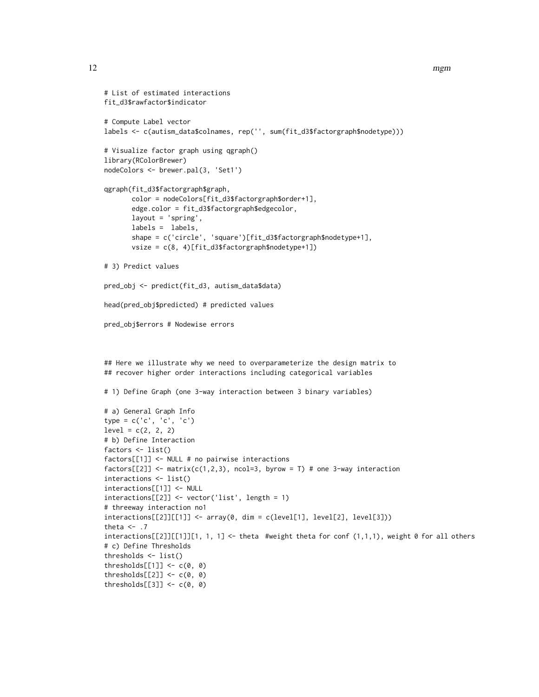```
# List of estimated interactions
fit_d3$rawfactor$indicator
# Compute Label vector
labels <- c(autism_data$colnames, rep('', sum(fit_d3$factorgraph$nodetype)))
# Visualize factor graph using qgraph()
library(RColorBrewer)
nodeColors <- brewer.pal(3, 'Set1')
qgraph(fit_d3$factorgraph$graph,
       color = nodeColors[fit_d3$factorgraph$order+1],
       edge.color = fit_d3$factorgraph$edgecolor,
       layout = 'spring',
       labels = labels,
       shape = c('circle', 'square')[fit_d3$factorgraph$nodetype+1],
       vsize = c(8, 4)[fit_d3$factorgraph$nodetype+1])
# 3) Predict values
pred_obj <- predict(fit_d3, autism_data$data)
head(pred_obj$predicted) # predicted values
pred_obj$errors # Nodewise errors
## Here we illustrate why we need to overparameterize the design matrix to
## recover higher order interactions including categorical variables
# 1) Define Graph (one 3-way interaction between 3 binary variables)
# a) General Graph Info
type = c('c', 'c', 'c')
level = c(2, 2, 2)# b) Define Interaction
factors <- list()
factors[[1]] <- NULL # no pairwise interactions
factors[[2]] \leftarrow matrix(c(1,2,3), ncol=3, byrow = T) # one 3-way interactioninteractions <- list()
interactions[[1]] <- NULL
interactions[[2]] <- vector('list', length = 1)
# threeway interaction no1
interactions[[2]][[1]] \leftarrow array(0, dim = c(level[1], level[2], level[3]))theta \leq -7interactions[[2]][[1]][1, 1, 1] <- theta #weight theta for conf (1,1,1), weight 0 for all others
# c) Define Thresholds
thresholds <- list()
thresholds[[1]] \leftarrow c(0, 0)thresholds[2]] <- c(0, 0)
thresholds[[3]] \leftarrow c(0, 0)
```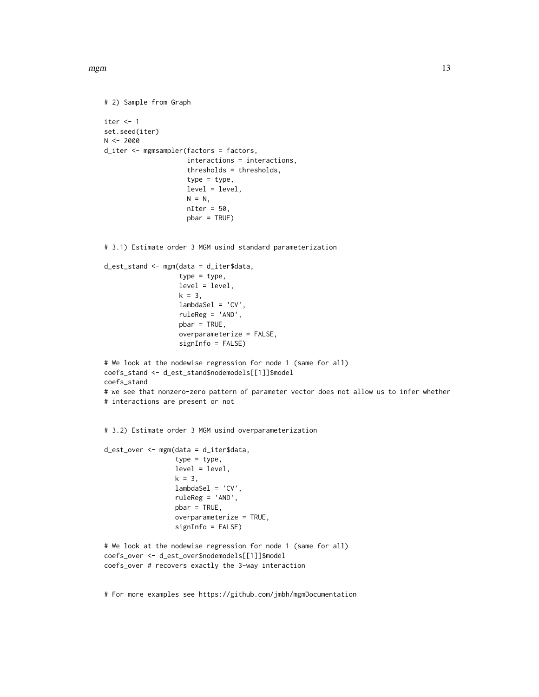```
mgm(13)
```

```
# 2) Sample from Graph
iter <-1set.seed(iter)
N < -2000d_iter <- mgmsampler(factors = factors,
                     interactions = interactions,
                     thresholds = thresholds,
                     type = type,
                     level = level,
                     N = N,
                     nIter = 50,
                     pbar = TRUE)
# 3.1) Estimate order 3 MGM usind standard parameterization
```

```
d_est_stand <- mgm(data = d_iter$data,
                   type = type,
                   level = level,
                   k = 3,
                   lambdaSel = 'CV',
                   ruleReg = 'AND',
                   pbar = TRUE,overparameterize = FALSE,
                   signInfo = FALSE)
# We look at the nodewise regression for node 1 (same for all)
coefs_stand <- d_est_stand$nodemodels[[1]]$model
coefs_stand
# we see that nonzero-zero pattern of parameter vector does not allow us to infer whether
# interactions are present or not
```
# 3.2) Estimate order 3 MGM usind overparameterization

```
d_est_over <- mgm(data = d_iter$data,
                  type = type,
                  level = level,
                  k = 3,
                  lambdaSel = 'CV',
                  ruleReg = 'AND',
                  pbar = TRUE,
                  overparameterize = TRUE,
                  signInfo = FALSE)
# We look at the nodewise regression for node 1 (same for all)
coefs_over <- d_est_over$nodemodels[[1]]$model
coefs_over # recovers exactly the 3-way interaction
```
# For more examples see https://github.com/jmbh/mgmDocumentation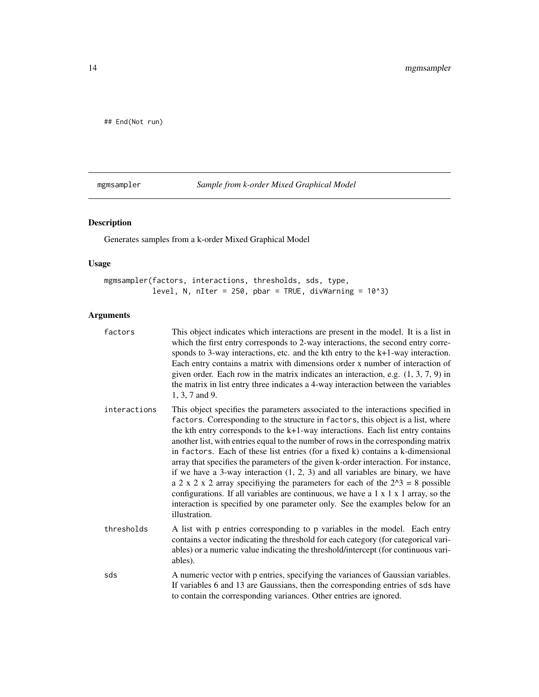<span id="page-13-0"></span>## End(Not run)

mgmsampler *Sample from k-order Mixed Graphical Model*

#### Description

Generates samples from a k-order Mixed Graphical Model

#### Usage

mgmsampler(factors, interactions, thresholds, sds, type, level, N, nIter = 250, pbar = TRUE, divWarning =  $10^33$ )

#### Arguments

| factors      | This object indicates which interactions are present in the model. It is a list in<br>which the first entry corresponds to 2-way interactions, the second entry corre-<br>sponds to 3-way interactions, etc. and the $k$ th entry to the $k+1$ -way interaction.<br>Each entry contains a matrix with dimensions order x number of interaction of<br>given order. Each row in the matrix indicates an interaction, e.g. $(1, 3, 7, 9)$ in<br>the matrix in list entry three indicates a 4-way interaction between the variables<br>1, 3, 7 and 9.                                                                                                                                                                                                                                                                                                                                                     |
|--------------|-------------------------------------------------------------------------------------------------------------------------------------------------------------------------------------------------------------------------------------------------------------------------------------------------------------------------------------------------------------------------------------------------------------------------------------------------------------------------------------------------------------------------------------------------------------------------------------------------------------------------------------------------------------------------------------------------------------------------------------------------------------------------------------------------------------------------------------------------------------------------------------------------------|
| interactions | This object specifies the parameters associated to the interactions specified in<br>factors. Corresponding to the structure in factors, this object is a list, where<br>the kth entry corresponds to the $k+1$ -way interactions. Each list entry contains<br>another list, with entries equal to the number of rows in the corresponding matrix<br>in factors. Each of these list entries (for a fixed k) contains a k-dimensional<br>array that specifies the parameters of the given k-order interaction. For instance,<br>if we have a 3-way interaction $(1, 2, 3)$ and all variables are binary, we have<br>a 2 x 2 x 2 array specifiying the parameters for each of the $2^3 = 8$ possible<br>configurations. If all variables are continuous, we have a $1 \times 1 \times 1$ array, so the<br>interaction is specified by one parameter only. See the examples below for an<br>illustration. |
| thresholds   | A list with p entries corresponding to p variables in the model. Each entry<br>contains a vector indicating the threshold for each category (for categorical vari-<br>ables) or a numeric value indicating the threshold/intercept (for continuous vari-<br>ables).                                                                                                                                                                                                                                                                                                                                                                                                                                                                                                                                                                                                                                   |
| sds          | A numeric vector with p entries, specifying the variances of Gaussian variables.<br>If variables 6 and 13 are Gaussians, then the corresponding entries of sds have<br>to contain the corresponding variances. Other entries are ignored.                                                                                                                                                                                                                                                                                                                                                                                                                                                                                                                                                                                                                                                             |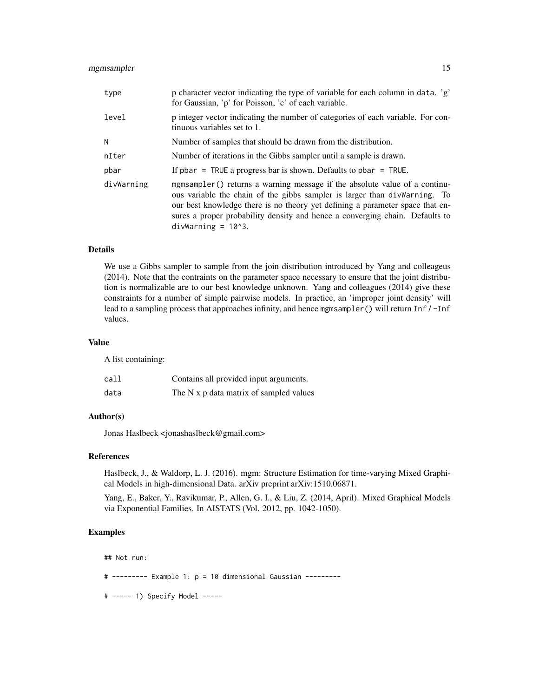#### mgmsampler 15

| type       | p character vector indicating the type of variable for each column in data. 'g'<br>for Gaussian, 'p' for Poisson, 'c' of each variable.                                                                                                                                                                                                           |
|------------|---------------------------------------------------------------------------------------------------------------------------------------------------------------------------------------------------------------------------------------------------------------------------------------------------------------------------------------------------|
| level      | p integer vector indicating the number of categories of each variable. For con-<br>tinuous variables set to 1.                                                                                                                                                                                                                                    |
| N          | Number of samples that should be drawn from the distribution.                                                                                                                                                                                                                                                                                     |
| nIter      | Number of iterations in the Gibbs sampler until a sample is drawn.                                                                                                                                                                                                                                                                                |
| pbar       | If pbar = TRUE a progress bar is shown. Defaults to pbar = TRUE.                                                                                                                                                                                                                                                                                  |
| divWarning | mgmsampler() returns a warning message if the absolute value of a continu-<br>ous variable the chain of the gibbs sampler is larger than divWarning. To<br>our best knowledge there is no theory yet defining a parameter space that en-<br>sures a proper probability density and hence a converging chain. Defaults to<br>$divWarning = 10^3$ . |

#### Details

We use a Gibbs sampler to sample from the join distribution introduced by Yang and colleageus (2014). Note that the contraints on the parameter space necessary to ensure that the joint distribution is normalizable are to our best knowledge unknown. Yang and colleagues (2014) give these constraints for a number of simple pairwise models. In practice, an 'improper joint density' will lead to a sampling process that approaches infinity, and hence mgmsampler() will return Inf / -Inf values.

#### Value

A list containing:

| call | Contains all provided input arguments.  |
|------|-----------------------------------------|
| data | The N x p data matrix of sampled values |

#### Author(s)

Jonas Haslbeck <jonashaslbeck@gmail.com>

#### References

Haslbeck, J., & Waldorp, L. J. (2016). mgm: Structure Estimation for time-varying Mixed Graphical Models in high-dimensional Data. arXiv preprint arXiv:1510.06871.

Yang, E., Baker, Y., Ravikumar, P., Allen, G. I., & Liu, Z. (2014, April). Mixed Graphical Models via Exponential Families. In AISTATS (Vol. 2012, pp. 1042-1050).

#### Examples

## Not run:

# --------- Example 1: p = 10 dimensional Gaussian ---------

# ----- 1) Specify Model -----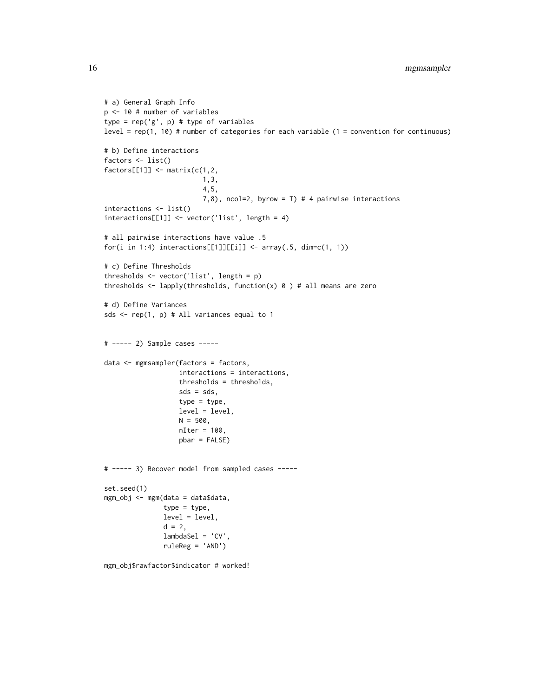```
# a) General Graph Info
p <- 10 # number of variables
type = rep('g', p) # type of variableslevel = rep(1, 10) # number of categories for each variable (1 = convention for continuous)
# b) Define interactions
factors \leftarrow list()
factors[[1]] \leftarrow matrix(c(1, 2,1,3,
                         4,5,
                         7,8), ncol=2, byrow = T) # 4 pairwise interactions
interactions <- list()
interactions[[1]] <- vector('list', length = 4)
# all pairwise interactions have value .5
for(i in 1:4) interactions[[1]][[i]] <- array(.5, dim=c(1, 1))
# c) Define Thresholds
thresholds <- vector('list', length = p)
thresholds \leq lapply(thresholds, function(x) 0 ) # all means are zero
# d) Define Variances
sds \leq rep(1, p) # All variances equal to 1
# ----- 2) Sample cases -----
data <- mgmsampler(factors = factors,
                   interactions = interactions,
                   thresholds = thresholds,
                   sds = sds,
                   type = type,
                   level = level,
                   N = 500,
                   nIter = 100,
                   pbar = FALSE)
# ----- 3) Recover model from sampled cases -----
set.seed(1)
mgm_obj <- mgm(data = data$data,
               type = type,
               level = level,
               d = 2,lambdaSel = 'CV',
               ruleReg = 'AND')
mgm_obj$rawfactor$indicator # worked!
```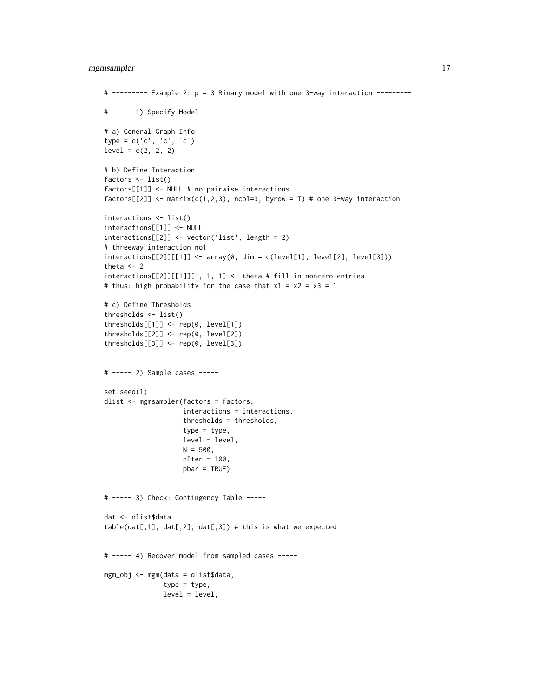#### mgmsampler 17

```
# --------- Example 2: p = 3 Binary model with one 3-way interaction ---------
# ----- 1) Specify Model -----
# a) General Graph Info
type = c('c', 'c', 'c')
level = c(2, 2, 2)# b) Define Interaction
factors <- list()
factors[[1]] <- NULL # no pairwise interactions
factors[[2]] \leftarrow matrix(c(1,2,3), ncol=3, byrow = T) # one 3-way interactioninteractions <- list()
interactions[[1]] <- NULL
interactions[[2]] <- vector('list', length = 2)
# threeway interaction no1
interactions[[2]][[1]] < - array(0, dim = c(level[1], level[2], level[3]))theta <-2interactions[[2]][[1]][1, 1, 1] < - theta # fill in nonzero entries
# thus: high probability for the case that x1 = x2 = x3 = 1# c) Define Thresholds
thresholds <- list()
thresholds[[1]] <- rep(0, level[1])
thresholds[[2]] <- rep(0, level[2])
thresholds[[3]] <- rep(0, level[3])
# ----- 2) Sample cases -----
set.seed(1)
dlist <- mgmsampler(factors = factors,
                    interactions = interactions,
                    thresholds = thresholds,
                    type = type,
                    level = level,
                    N = 500,nIter = 100,
                    pbar = TRUE)
# ----- 3) Check: Contingency Table -----
dat <- dlist$data
table(data[, 1], dat[, 2], dat[, 3]) # this is what we expected
# ----- 4) Recover model from sampled cases -----
mgm_obj <- mgm(data = dlist$data,
               type = type,
               level = level,
```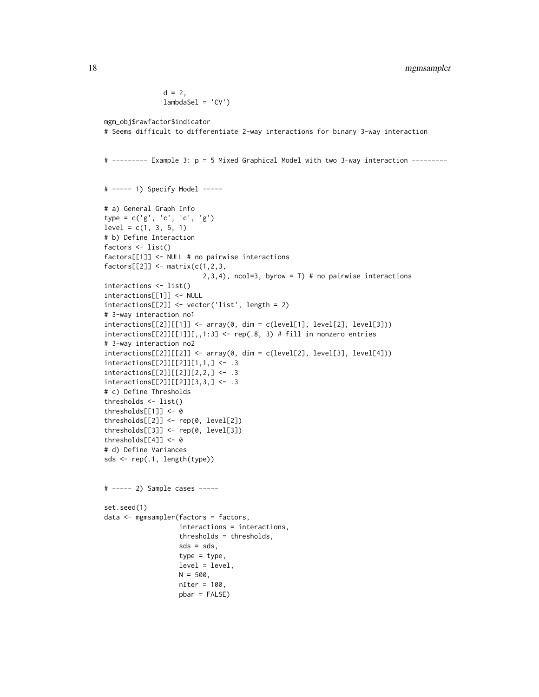```
d = 2,lambdaSel = 'CV')mgm_obj$rawfactor$indicator
# Seems difficult to differentiate 2-way interactions for binary 3-way interaction
# --------- Example 3: p = 5 Mixed Graphical Model with two 3-way interaction ---------
# ----- 1) Specify Model -----
# a) General Graph Info
type = c('g', 'c', 'c', 'g')
level = c(1, 3, 5, 1)# b) Define Interaction
factors <- list()
factors[[1]] <- NULL # no pairwise interactions
factors[[2]] \leftarrow matrix(c(1,2,3,2,3,4), ncol=3, byrow = T) # no pairwise interactions
interactions <- list()
interactions[[1]] <- NULL
interactions[[2]] <- vector('list', length = 2)
# 3-way interaction no1
interactions[[2]][[1]] \leftarrow array(0, dim = c(level[1], level[2], level[3]))interactions[[2]][[1]][,, 1:3] < - rep(.8, 3) # fill in nonzero entries# 3-way interaction no2
interactions[[2]][[2]] < - array(0, dim = c(level[2], level[3], level[4]))interactions[[2]][[2]][1,1,] <- .3
interactions[[2]][[2]][2,2,] <- .3
interactions[[2]][[2]][3,3,] <- .3
# c) Define Thresholds
thresholds <- list()
thresholds[[1]] <- 0
thresholds[[2]] <- rep(0, level[2])
thresholds[[3]] <- rep(0, level[3])
thresholds[[4]] <- 0
# d) Define Variances
sds <- rep(.1, length(type))
# ----- 2) Sample cases -----
set.seed(1)
data <- mgmsampler(factors = factors,
                   interactions = interactions,
                   thresholds = thresholds,
                   sds = sds,
                   type = type,
                   level = level,
                   N = 500,nIter = 100,
                   pbar = FALSE)
```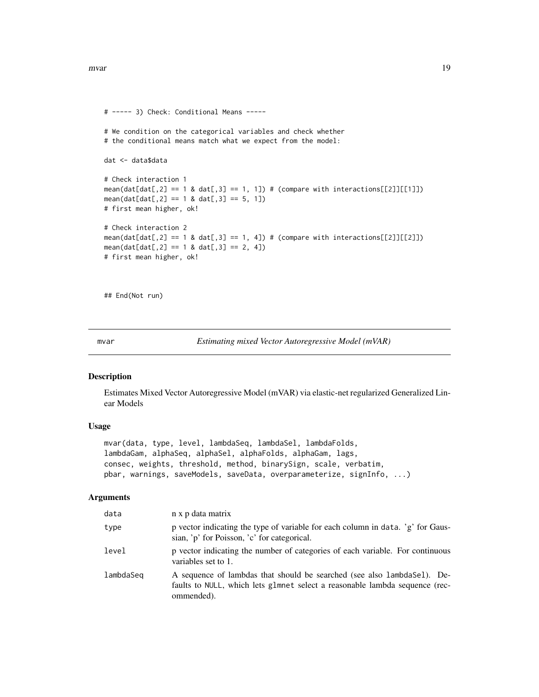```
# ----- 3) Check: Conditional Means -----
# We condition on the categorical variables and check whether
# the conditional means match what we expect from the model:
dat <- data$data
# Check interaction 1
mean(data[f, 2] == 1 \& dat[f, 3] == 1, 1]) # (compare with interactions [2]][[1]])mean(data[dat[, 2] == 1 & dat[, 3] == 5, 1])# first mean higher, ok!
# Check interaction 2
mean(dat[dat[,2] == 1 & dat[,3] == 1, 4]) # (compare with interactions[[2]][[2]])
mean(data[dat[, 2] == 1 & dat[, 3] == 2, 4])# first mean higher, ok!
```
## End(Not run)

mvar *Estimating mixed Vector Autoregressive Model (mVAR)*

#### Description

Estimates Mixed Vector Autoregressive Model (mVAR) via elastic-net regularized Generalized Linear Models

#### Usage

```
mvar(data, type, level, lambdaSeq, lambdaSel, lambdaFolds,
lambdaGam, alphaSeq, alphaSel, alphaFolds, alphaGam, lags,
consec, weights, threshold, method, binarySign, scale, verbatim,
pbar, warnings, saveModels, saveData, overparameterize, signInfo, ...)
```
#### Arguments

| data      | n x p data matrix                                                                                                                                                     |
|-----------|-----------------------------------------------------------------------------------------------------------------------------------------------------------------------|
| type      | p vector indicating the type of variable for each column in data. 'g' for Gaus-<br>sian, 'p' for Poisson, 'c' for categorical.                                        |
| level     | p vector indicating the number of categories of each variable. For continuous<br>variables set to 1.                                                                  |
| lambdaSeq | A sequence of lambdas that should be searched (see also lambda Sel). De-<br>faults to NULL, which lets glmnet select a reasonable lambda sequence (rec-<br>ommended). |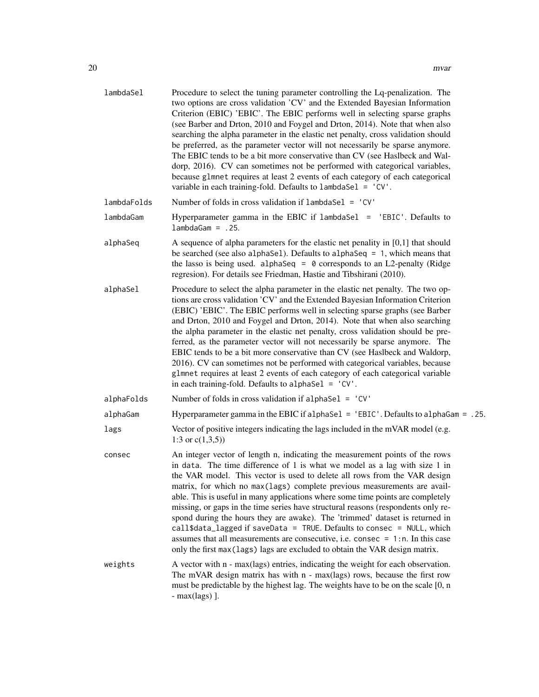| lambdaSel   | Procedure to select the tuning parameter controlling the Lq-penalization. The<br>two options are cross validation 'CV' and the Extended Bayesian Information<br>Criterion (EBIC) 'EBIC'. The EBIC performs well in selecting sparse graphs<br>(see Barber and Drton, 2010 and Foygel and Drton, 2014). Note that when also<br>searching the alpha parameter in the elastic net penalty, cross validation should<br>be preferred, as the parameter vector will not necessarily be sparse anymore.<br>The EBIC tends to be a bit more conservative than CV (see Haslbeck and Wal-<br>dorp, 2016). CV can sometimes not be performed with categorical variables,<br>because glmnet requires at least 2 events of each category of each categorical<br>variable in each training-fold. Defaults to lambdaSel = 'CV'.                  |
|-------------|-----------------------------------------------------------------------------------------------------------------------------------------------------------------------------------------------------------------------------------------------------------------------------------------------------------------------------------------------------------------------------------------------------------------------------------------------------------------------------------------------------------------------------------------------------------------------------------------------------------------------------------------------------------------------------------------------------------------------------------------------------------------------------------------------------------------------------------|
| lambdaFolds | Number of folds in cross validation if $l$ ambdaSe $l$ = 'CV'                                                                                                                                                                                                                                                                                                                                                                                                                                                                                                                                                                                                                                                                                                                                                                     |
| lambdaGam   | Hyperparameter gamma in the EBIC if lambdaSel = 'EBIC'. Defaults to<br>$lambda Gam = .25.$                                                                                                                                                                                                                                                                                                                                                                                                                                                                                                                                                                                                                                                                                                                                        |
| alphaSeq    | A sequence of alpha parameters for the elastic net penality in $[0,1]$ that should<br>be searched (see also alphaSel). Defaults to alphaSeq = $1$ , which means that<br>the lasso is being used. alphaSeq = $\theta$ corresponds to an L2-penalty (Ridge<br>regresion). For details see Friedman, Hastie and Tibshirani (2010).                                                                                                                                                                                                                                                                                                                                                                                                                                                                                                   |
| alphaSel    | Procedure to select the alpha parameter in the elastic net penalty. The two op-<br>tions are cross validation 'CV' and the Extended Bayesian Information Criterion<br>(EBIC) 'EBIC'. The EBIC performs well in selecting sparse graphs (see Barber<br>and Drton, 2010 and Foygel and Drton, 2014). Note that when also searching<br>the alpha parameter in the elastic net penalty, cross validation should be pre-<br>ferred, as the parameter vector will not necessarily be sparse anymore. The<br>EBIC tends to be a bit more conservative than CV (see Haslbeck and Waldorp,<br>2016). CV can sometimes not be performed with categorical variables, because<br>glmnet requires at least 2 events of each category of each categorical variable<br>in each training-fold. Defaults to alphaSel = $'CV'$ .                    |
| alphaFolds  | Number of folds in cross validation if alphaSel = 'CV'                                                                                                                                                                                                                                                                                                                                                                                                                                                                                                                                                                                                                                                                                                                                                                            |
| alphaGam    | Hyperparameter gamma in the EBIC if alphaSel = 'EBIC'. Defaults to alphaGam = .25.                                                                                                                                                                                                                                                                                                                                                                                                                                                                                                                                                                                                                                                                                                                                                |
| lags        | Vector of positive integers indicating the lags included in the mVAR model (e.g.<br>1:3 or $c(1,3,5)$ )                                                                                                                                                                                                                                                                                                                                                                                                                                                                                                                                                                                                                                                                                                                           |
| consec      | An integer vector of length n, indicating the measurement points of the rows<br>in data. The time difference of $1$ is what we model as a lag with size $1$ in<br>the VAR model. This vector is used to delete all rows from the VAR design<br>matrix, for which no max(lags) complete previous measurements are avail-<br>able. This is useful in many applications where some time points are completely<br>missing, or gaps in the time series have structural reasons (respondents only re-<br>spond during the hours they are awake). The 'trimmed' dataset is returned in<br>call\$data_lagged if saveData = TRUE. Defaults to consec = $NULL$ , which<br>assumes that all measurements are consecutive, i.e. consec $= 1$ :n. In this case<br>only the first max (lags) lags are excluded to obtain the VAR design matrix. |
| weights     | A vector with n - max(lags) entries, indicating the weight for each observation.<br>The mVAR design matrix has with n - max(lags) rows, because the first row<br>must be predictable by the highest lag. The weights have to be on the scale [0, n<br>$- max(\text{lags})$ ].                                                                                                                                                                                                                                                                                                                                                                                                                                                                                                                                                     |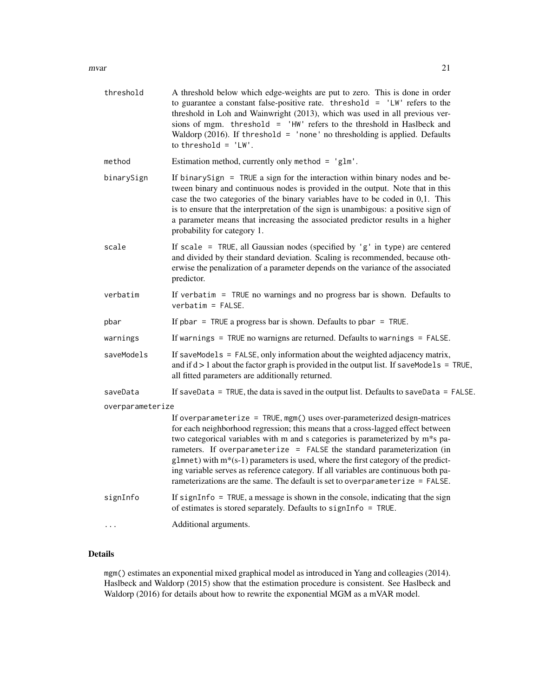| threshold        | A threshold below which edge-weights are put to zero. This is done in order<br>to guarantee a constant false-positive rate. threshold = $'LW$ refers to the<br>threshold in Loh and Wainwright (2013), which was used in all previous ver-<br>sions of mgm. threshold = 'HW' refers to the threshold in Haslbeck and<br>Waldorp (2016). If threshold = 'none' no thresholding is applied. Defaults<br>to threshold = $'LW'$ .                                                                                                                                                              |
|------------------|--------------------------------------------------------------------------------------------------------------------------------------------------------------------------------------------------------------------------------------------------------------------------------------------------------------------------------------------------------------------------------------------------------------------------------------------------------------------------------------------------------------------------------------------------------------------------------------------|
| method           | Estimation method, currently only method = $'glm'$ .                                                                                                                                                                                                                                                                                                                                                                                                                                                                                                                                       |
| binarySign       | If binary Sign $=$ TRUE a sign for the interaction within binary nodes and be-<br>tween binary and continuous nodes is provided in the output. Note that in this<br>case the two categories of the binary variables have to be coded in 0,1. This<br>is to ensure that the interpretation of the sign is unambigous: a positive sign of<br>a parameter means that increasing the associated predictor results in a higher<br>probability for category 1.                                                                                                                                   |
| scale            | If scale = TRUE, all Gaussian nodes (specified by $'g'$ in type) are centered<br>and divided by their standard deviation. Scaling is recommended, because oth-<br>erwise the penalization of a parameter depends on the variance of the associated<br>predictor.                                                                                                                                                                                                                                                                                                                           |
| verbatim         | If verbatim = $TRUE$ no warnings and no progress bar is shown. Defaults to<br>$verbatim = FALSE.$                                                                                                                                                                                                                                                                                                                                                                                                                                                                                          |
| pbar             | If pbar = TRUE a progress bar is shown. Defaults to pbar = TRUE.                                                                                                                                                                                                                                                                                                                                                                                                                                                                                                                           |
| warnings         | If warnings $=$ TRUE no warnigns are returned. Defaults to warnings $=$ FALSE.                                                                                                                                                                                                                                                                                                                                                                                                                                                                                                             |
| saveModels       | If saveModels = FALSE, only information about the weighted adjacency matrix,<br>and if $d > 1$ about the factor graph is provided in the output list. If save Models = TRUE,<br>all fitted parameters are additionally returned.                                                                                                                                                                                                                                                                                                                                                           |
| saveData         | If saveData = TRUE, the data is saved in the output list. Defaults to saveData = FALSE.                                                                                                                                                                                                                                                                                                                                                                                                                                                                                                    |
| overparameterize |                                                                                                                                                                                                                                                                                                                                                                                                                                                                                                                                                                                            |
|                  | If overparameterize = TRUE, mgm() uses over-parameterized design-matrices<br>for each neighborhood regression; this means that a cross-lagged effect between<br>two categorical variables with m and s categories is parameterized by m*s pa-<br>rameters. If overparameterize = FALSE the standard parameterization (in<br>$glmnet$ ) with $m*(s-1)$ parameters is used, where the first category of the predict-<br>ing variable serves as reference category. If all variables are continuous both pa-<br>rameterizations are the same. The default is set to overparameterize = FALSE. |
| signInfo         | If signInfo = $TRUE$ , a message is shown in the console, indicating that the sign<br>of estimates is stored separately. Defaults to signInfo = TRUE.                                                                                                                                                                                                                                                                                                                                                                                                                                      |
|                  | Additional arguments.                                                                                                                                                                                                                                                                                                                                                                                                                                                                                                                                                                      |

#### Details

mgm() estimates an exponential mixed graphical model as introduced in Yang and colleagies (2014). Haslbeck and Waldorp (2015) show that the estimation procedure is consistent. See Haslbeck and Waldorp (2016) for details about how to rewrite the exponential MGM as a mVAR model.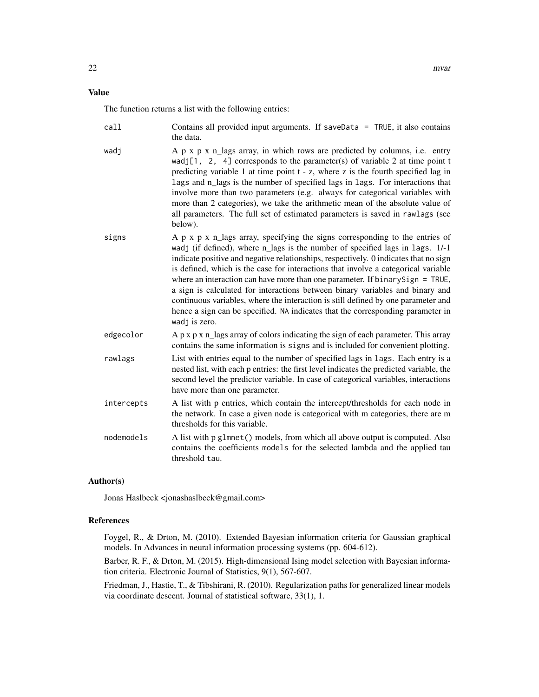#### Value

The function returns a list with the following entries:

| call       | Contains all provided input arguments. If saveData = $TRUE$ , it also contains<br>the data.                                                                                                                                                                                                                                                                                                                                                                                                                                                                                                                                                                                                           |
|------------|-------------------------------------------------------------------------------------------------------------------------------------------------------------------------------------------------------------------------------------------------------------------------------------------------------------------------------------------------------------------------------------------------------------------------------------------------------------------------------------------------------------------------------------------------------------------------------------------------------------------------------------------------------------------------------------------------------|
| wadj       | A p x p x n_lags array, in which rows are predicted by columns, i.e. entry<br>wadj[1, 2, 4] corresponds to the parameter(s) of variable 2 at time point t<br>predicting variable 1 at time point t - z, where z is the fourth specified lag in<br>lags and n_lags is the number of specified lags in lags. For interactions that<br>involve more than two parameters (e.g. always for categorical variables with<br>more than 2 categories), we take the arithmetic mean of the absolute value of<br>all parameters. The full set of estimated parameters is saved in rawlags (see<br>below).                                                                                                         |
| signs      | A p x p x n_lags array, specifying the signs corresponding to the entries of<br>wadj (if defined), where n_lags is the number of specified lags in lags. 1/-1<br>indicate positive and negative relationships, respectively. 0 indicates that no sign<br>is defined, which is the case for interactions that involve a categorical variable<br>where an interaction can have more than one parameter. If binarySign = TRUE,<br>a sign is calculated for interactions between binary variables and binary and<br>continuous variables, where the interaction is still defined by one parameter and<br>hence a sign can be specified. NA indicates that the corresponding parameter in<br>wadj is zero. |
| edgecolor  | A p x p x n_lags array of colors indicating the sign of each parameter. This array<br>contains the same information is signs and is included for convenient plotting.                                                                                                                                                                                                                                                                                                                                                                                                                                                                                                                                 |
| rawlags    | List with entries equal to the number of specified lags in lags. Each entry is a<br>nested list, with each p entries: the first level indicates the predicted variable, the<br>second level the predictor variable. In case of categorical variables, interactions<br>have more than one parameter.                                                                                                                                                                                                                                                                                                                                                                                                   |
| intercepts | A list with p entries, which contain the intercept/thresholds for each node in<br>the network. In case a given node is categorical with m categories, there are m<br>thresholds for this variable.                                                                                                                                                                                                                                                                                                                                                                                                                                                                                                    |
| nodemodels | A list with p glmnet () models, from which all above output is computed. Also<br>contains the coefficients models for the selected lambda and the applied tau<br>threshold tau.                                                                                                                                                                                                                                                                                                                                                                                                                                                                                                                       |

#### Author(s)

Jonas Haslbeck <jonashaslbeck@gmail.com>

#### References

Foygel, R., & Drton, M. (2010). Extended Bayesian information criteria for Gaussian graphical models. In Advances in neural information processing systems (pp. 604-612).

Barber, R. F., & Drton, M. (2015). High-dimensional Ising model selection with Bayesian information criteria. Electronic Journal of Statistics, 9(1), 567-607.

Friedman, J., Hastie, T., & Tibshirani, R. (2010). Regularization paths for generalized linear models via coordinate descent. Journal of statistical software, 33(1), 1.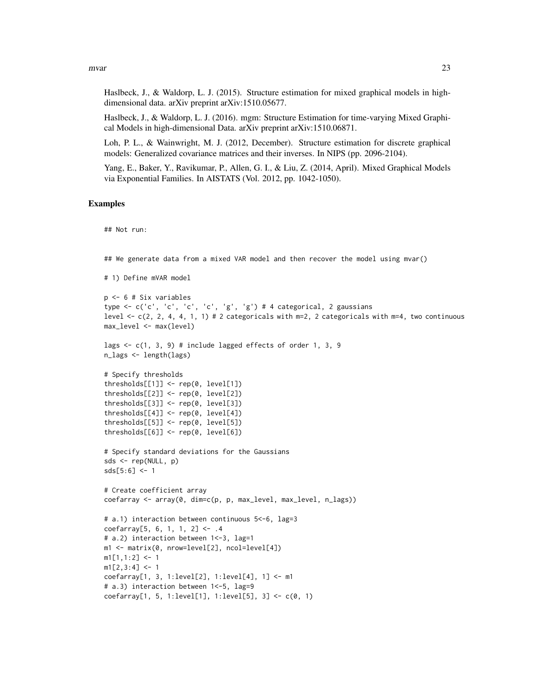Haslbeck, J., & Waldorp, L. J. (2015). Structure estimation for mixed graphical models in highdimensional data. arXiv preprint arXiv:1510.05677.

Haslbeck, J., & Waldorp, L. J. (2016). mgm: Structure Estimation for time-varying Mixed Graphical Models in high-dimensional Data. arXiv preprint arXiv:1510.06871.

Loh, P. L., & Wainwright, M. J. (2012, December). Structure estimation for discrete graphical models: Generalized covariance matrices and their inverses. In NIPS (pp. 2096-2104).

Yang, E., Baker, Y., Ravikumar, P., Allen, G. I., & Liu, Z. (2014, April). Mixed Graphical Models via Exponential Families. In AISTATS (Vol. 2012, pp. 1042-1050).

#### Examples

## Not run:

## We generate data from a mixed VAR model and then recover the model using mvar()

```
# 1) Define mVAR model
```

```
p <- 6 # Six variables
type <- c('c', 'c', 'c', 'c', 'g', 'g') # 4 categorical, 2 gaussians
level \leq c(2, 2, 4, 4, 1, 1) # 2 categoricals with m=2, 2 categoricals with m=4, two continuous
max_level <- max(level)
```

```
lags \leq c(1, 3, 9) # include lagged effects of order 1, 3, 9
n_lags <- length(lags)
```

```
# Specify thresholds
thresholds[[1]] <- rep(0, level[1])
thresholds[[2]] <- rep(0, level[2])
thresholds[[3]] <- rep(0, level[3])
thresholds[[4]] \leftarrow rep(0, level[4])thresholds[[5]] <- rep(0, level[5])
thresholds[[6]] \leftarrow rep(0, level[6])
```

```
# Specify standard deviations for the Gaussians
sds <- rep(NULL, p)
sds[5:6] < -1
```

```
# Create coefficient array
coefarray <- array(0, dim=c(p, p, max_level, max_level, n_lags))
```

```
# a.1) interaction between continuous 5<-6, lag=3
coefarray[5, 6, 1, 1, 2] <- .4
# a.2) interaction between 1<-3, lag=1
m1 <- matrix(0, nrow=level[2], ncol=level[4])
m1[1,1:2] <- 1
m1[2,3:4] <- 1
coefarray[1, 3, 1:level[2], 1:level[4], 1] <- m1
# a.3) interaction between 1<-5, lag=9
coeffarray[1, 5, 1:level[1], 1:level[5], 3] < -c(0, 1)
```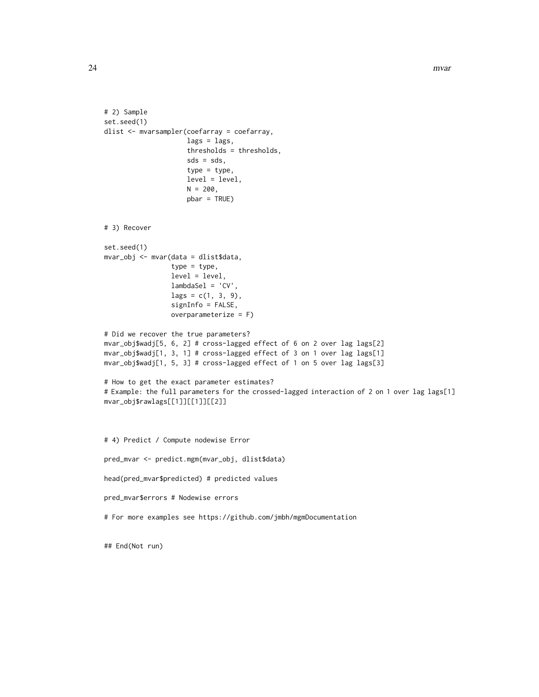```
# 2) Sample
set.seed(1)
dlist <- mvarsampler(coefarray = coefarray,
                     lags = lags,
                     thresholds = thresholds,
                     sds = sds,
                     type = type,
                     level = level,
                     N = 200,
                     pbar = TRUE)
# 3) Recover
set.seed(1)
mvar_obj <- mvar(data = dlist$data,
                 type = type,
                 level = level,lambdaSel = 'CV',
                 lags = c(1, 3, 9),signInfo = FALSE,
                 overparameterize = F)
# Did we recover the true parameters?
mvar_obj$wadj[5, 6, 2] # cross-lagged effect of 6 on 2 over lag lags[2]
mvar_obj$wadj[1, 3, 1] # cross-lagged effect of 3 on 1 over lag lags[1]
mvar_obj$wadj[1, 5, 3] # cross-lagged effect of 1 on 5 over lag lags[3]
# How to get the exact parameter estimates?
# Example: the full parameters for the crossed-lagged interaction of 2 on 1 over lag lags[1]
mvar_obj$rawlags[[1]][[1]][[2]]
# 4) Predict / Compute nodewise Error
pred_mvar <- predict.mgm(mvar_obj, dlist$data)
head(pred_mvar$predicted) # predicted values
pred_mvar$errors # Nodewise errors
# For more examples see https://github.com/jmbh/mgmDocumentation
```
## End(Not run)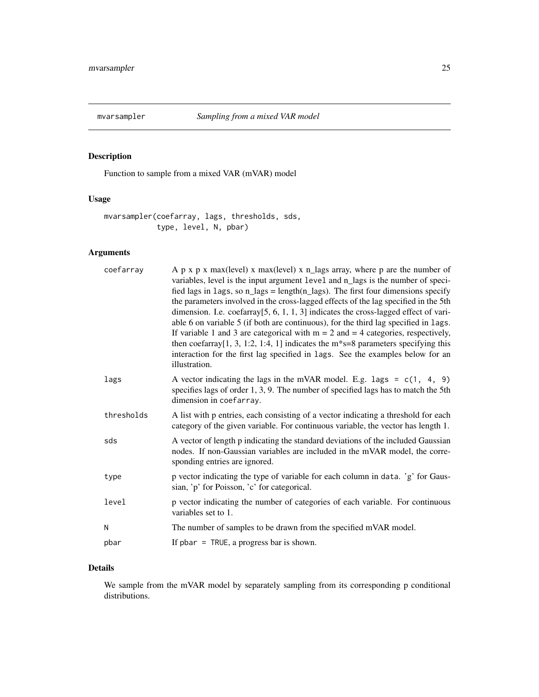<span id="page-24-0"></span>

#### Description

Function to sample from a mixed VAR (mVAR) model

#### Usage

mvarsampler(coefarray, lags, thresholds, sds, type, level, N, pbar)

#### Arguments

| coefarray  | A $p \times p \times max(level) \times max(level) \times n$ lags array, where p are the number of<br>variables, level is the input argument level and n_lags is the number of speci-<br>fied lags in lags, so $n_{lass} = length(n_{lass})$ . The first four dimensions specify<br>the parameters involved in the cross-lagged effects of the lag specified in the 5th<br>dimension. I.e. $coefarray[5, 6, 1, 1, 3]$ indicates the cross-lagged effect of vari-<br>able 6 on variable 5 (if both are continuous), for the third lag specified in lags.<br>If variable 1 and 3 are categorical with $m = 2$ and $= 4$ categories, respectively,<br>then coefarray[1, 3, 1:2, 1:4, 1] indicates the $m$ <sup>*</sup> s=8 parameters specifying this<br>interaction for the first lag specified in lags. See the examples below for an<br>illustration. |
|------------|------------------------------------------------------------------------------------------------------------------------------------------------------------------------------------------------------------------------------------------------------------------------------------------------------------------------------------------------------------------------------------------------------------------------------------------------------------------------------------------------------------------------------------------------------------------------------------------------------------------------------------------------------------------------------------------------------------------------------------------------------------------------------------------------------------------------------------------------------|
| lags       | A vector indicating the lags in the mVAR model. E.g. lags = $c(1, 4, 9)$<br>specifies lags of order 1, 3, 9. The number of specified lags has to match the 5th<br>dimension in coefarray.                                                                                                                                                                                                                                                                                                                                                                                                                                                                                                                                                                                                                                                            |
| thresholds | A list with p entries, each consisting of a vector indicating a threshold for each<br>category of the given variable. For continuous variable, the vector has length 1.                                                                                                                                                                                                                                                                                                                                                                                                                                                                                                                                                                                                                                                                              |
| sds        | A vector of length p indicating the standard deviations of the included Gaussian<br>nodes. If non-Gaussian variables are included in the mVAR model, the corre-<br>sponding entries are ignored.                                                                                                                                                                                                                                                                                                                                                                                                                                                                                                                                                                                                                                                     |
| type       | p vector indicating the type of variable for each column in data. 'g' for Gaus-<br>sian, 'p' for Poisson, 'c' for categorical.                                                                                                                                                                                                                                                                                                                                                                                                                                                                                                                                                                                                                                                                                                                       |
| level      | p vector indicating the number of categories of each variable. For continuous<br>variables set to 1.                                                                                                                                                                                                                                                                                                                                                                                                                                                                                                                                                                                                                                                                                                                                                 |
| N          | The number of samples to be drawn from the specified mVAR model.                                                                                                                                                                                                                                                                                                                                                                                                                                                                                                                                                                                                                                                                                                                                                                                     |
| pbar       | If $phar = TRUE$ , a progress bar is shown.                                                                                                                                                                                                                                                                                                                                                                                                                                                                                                                                                                                                                                                                                                                                                                                                          |

#### Details

We sample from the mVAR model by separately sampling from its corresponding p conditional distributions.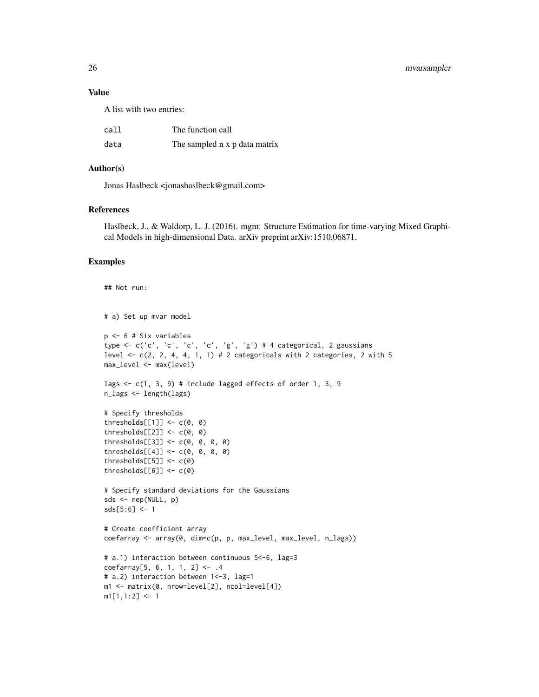26 mvarsampler

#### Value

A list with two entries:

| call | The function call             |
|------|-------------------------------|
| data | The sampled n x p data matrix |

#### Author(s)

Jonas Haslbeck <jonashaslbeck@gmail.com>

#### References

Haslbeck, J., & Waldorp, L. J. (2016). mgm: Structure Estimation for time-varying Mixed Graphical Models in high-dimensional Data. arXiv preprint arXiv:1510.06871.

#### Examples

```
## Not run:
# a) Set up mvar model
p <- 6 # Six variables
type <- c('c', 'c', 'c', 'c', 'g', 'g') # 4 categorical, 2 gaussians
level \leq c(2, 2, 4, 4, 1, 1) # 2 categoricals with 2 categories, 2 with 5
max_level <- max(level)
lags <- c(1, 3, 9) # include lagged effects of order 1, 3, 9
n_lags <- length(lags)
# Specify thresholds
thresholds[[1]] \leftarrow c(0, 0)thresholds[[2]] \leftarrow c(0, 0)thresholds[[3]] <- c(0, 0, 0, 0)
thresholds[[4]] \leftarrow c(0, 0, 0, 0)thresholds[5]] <- c(0)
thresholds[6]] <- c(0)
# Specify standard deviations for the Gaussians
sds <- rep(NULL, p)
sds[5:6] <- 1
# Create coefficient array
coefarray <- array(0, dim=c(p, p, max_level, max_level, n_lags))
# a.1) interaction between continuous 5<-6, lag=3
coefarray[5, 6, 1, 1, 2] <- .4
# a.2) interaction between 1<-3, lag=1
m1 <- matrix(0, nrow=level[2], ncol=level[4])
m1[1,1:2] <- 1
```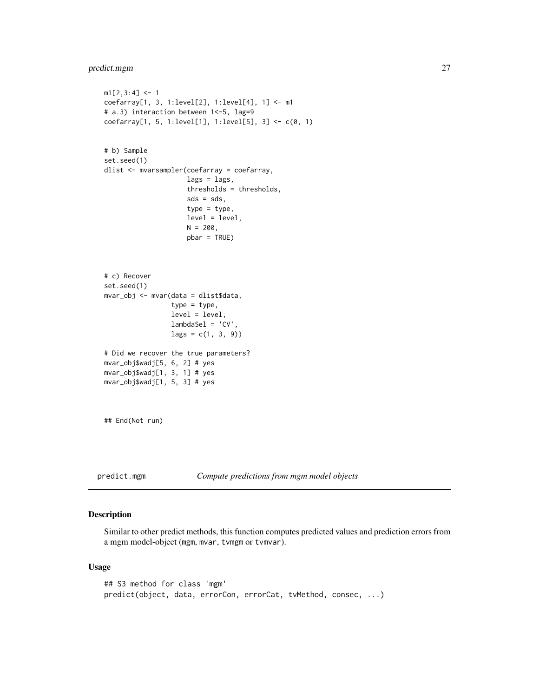#### <span id="page-26-0"></span>predict.mgm 27

```
m1[2,3:4] <- 1
coefarray[1, 3, 1:level[2], 1:level[4], 1] <- m1
# a.3) interaction between 1 <- 5, lag=9
coefarray[1, 5, 1:level[1], 1:level[5], 3] <- c(0, 1)
# b) Sample
set.seed(1)
dlist <- mvarsampler(coefarray = coefarray,
                     lags = lags,thresholds = thresholds,
                     sds = sds,
                     type = type,
                     level = level,
                     N = 200,
                     pbar = TRUE)
# c) Recover
set.seed(1)
mvar_obj <- mvar(data = dlist$data,
                 type = type,
                 level = level,
                 lambdaSel = 'CV',
                 lags = c(1, 3, 9))# Did we recover the true parameters?
mvar_obj$wadj[5, 6, 2] # yes
mvar_obj$wadj[1, 3, 1] # yes
mvar_obj$wadj[1, 5, 3] # yes
## End(Not run)
```
predict.mgm *Compute predictions from mgm model objects*

#### Description

Similar to other predict methods, this function computes predicted values and prediction errors from a mgm model-object (mgm, mvar, tvmgm or tvmvar).

#### Usage

```
## S3 method for class 'mgm'
predict(object, data, errorCon, errorCat, tvMethod, consec, ...)
```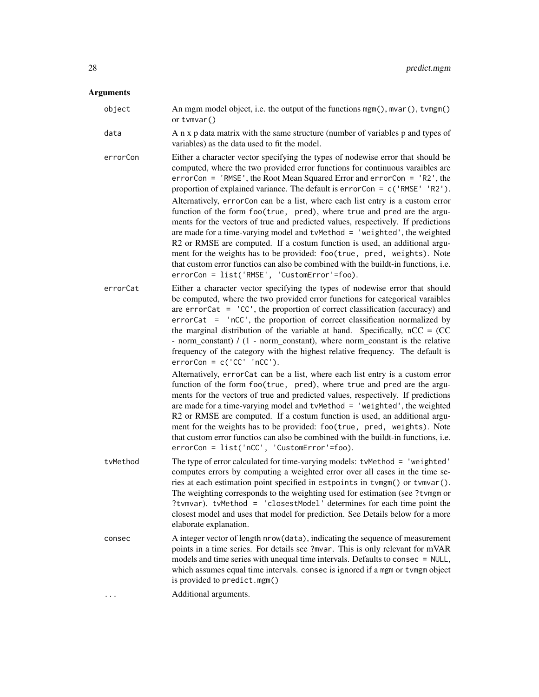#### **Arguments**

object An mgm model object, i.e. the output of the functions  $mgm()$ ,  $mvar()$ ,  $tvmgm()$ or tvmvar()

data A n x p data matrix with the same structure (number of variables p and types of variables) as the data used to fit the model.

- errorCon Either a character vector specifying the types of nodewise error that should be computed, where the two provided error functions for continuous varaibles are errorCon = 'RMSE', the Root Mean Squared Error and errorCon = 'R2', the proportion of explained variance. The default is errorCon = c('RMSE' 'R2'). Alternatively, errorCon can be a list, where each list entry is a custom error function of the form foo(true, pred), where true and pred are the arguments for the vectors of true and predicted values, respectively. If predictions are made for a time-varying model and tvMethod = 'weighted', the weighted R2 or RMSE are computed. If a costum function is used, an additional argument for the weights has to be provided: foo(true, pred, weights). Note that custom error functios can also be combined with the buildt-in functions, i.e. errorCon = list('RMSE', 'CustomError'=foo).
- errorCat Either a character vector specifying the types of nodewise error that should be computed, where the two provided error functions for categorical varaibles are  $errorCat = 'CC'$ , the proportion of correct classification (accuracy) and errorCat = 'nCC', the proportion of correct classification normalized by the marginal distribution of the variable at hand. Specifically,  $nCC = (CC)$ - norm constant) /  $(1 - norm constant)$ , where norm constant is the relative frequency of the category with the highest relative frequency. The default is  $errorCon = c('CC' 'nCC').$

Alternatively, errorCat can be a list, where each list entry is a custom error function of the form foo(true, pred), where true and pred are the arguments for the vectors of true and predicted values, respectively. If predictions are made for a time-varying model and  $t$ vMe $t$ hod = 'weighted', the weighted R2 or RMSE are computed. If a costum function is used, an additional argument for the weights has to be provided: foo(true, pred, weights). Note that custom error functios can also be combined with the buildt-in functions, i.e. errorCon = list('nCC', 'CustomError'=foo).

- tvMethod The type of error calculated for time-varying models: tvMethod = 'weighted' computes errors by computing a weighted error over all cases in the time series at each estimation point specified in estpoints in tvmgm() or tvmvar(). The weighting corresponds to the weighting used for estimation (see ?tvmgm or ?tvmvar). tvMethod = 'closestModel' determines for each time point the closest model and uses that model for prediction. See Details below for a more elaborate explanation.
- consec A integer vector of length nrow(data), indicating the sequence of measurement points in a time series. For details see ?mvar. This is only relevant for mVAR models and time series with unequal time intervals. Defaults to consec = NULL, which assumes equal time intervals. consec is ignored if a mgm or tvmgm object is provided to predict.mgm()
- ... Additional arguments.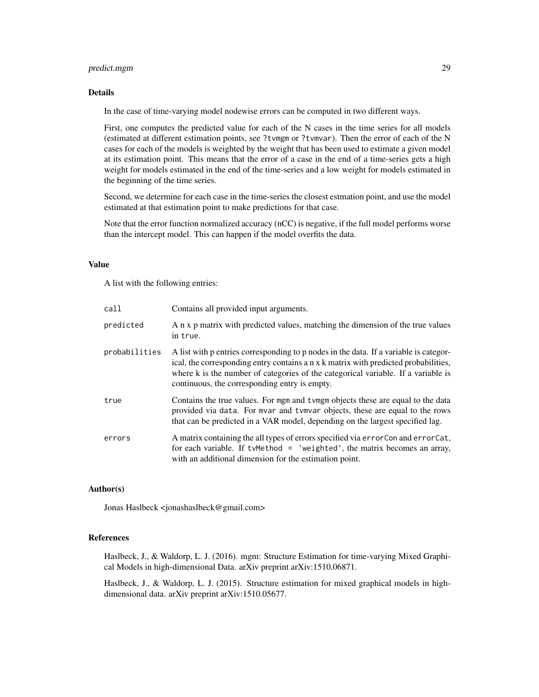#### predict.mgm 29

#### Details

In the case of time-varying model nodewise errors can be computed in two different ways.

First, one computes the predicted value for each of the N cases in the time series for all models (estimated at different estimation points, see ?tvmgm or ?tvmvar). Then the error of each of the N cases for each of the models is weighted by the weight that has been used to estimate a given model at its estimation point. This means that the error of a case in the end of a time-series gets a high weight for models estimated in the end of the time-series and a low weight for models estimated in the beginning of the time series.

Second, we determine for each case in the time-series the closest estmation point, and use the model estimated at that estimation point to make predictions for that case.

Note that the error function normalized accuracy (nCC) is negative, if the full model performs worse than the intercept model. This can happen if the model overfits the data.

#### Value

A list with the following entries:

| call          | Contains all provided input arguments.                                                                                                                                                                                                                                                                             |
|---------------|--------------------------------------------------------------------------------------------------------------------------------------------------------------------------------------------------------------------------------------------------------------------------------------------------------------------|
| predicted     | A n x p matrix with predicted values, matching the dimension of the true values<br>in true.                                                                                                                                                                                                                        |
| probabilities | A list with p entries corresponding to p nodes in the data. If a variable is categor-<br>ical, the corresponding entry contains a n x k matrix with predicted probabilities,<br>where k is the number of categories of the categorical variable. If a variable is<br>continuous, the corresponding entry is empty. |
| true          | Contains the true values. For mgm and tymgm objects these are equal to the data<br>provided via data. For mvar and tvmvar objects, these are equal to the rows<br>that can be predicted in a VAR model, depending on the largest specified lag.                                                                    |
| errors        | A matrix containing the all types of errors specified via error Con and error Cat,<br>for each variable. If tymethod = 'weighted', the matrix becomes an array,<br>with an additional dimension for the estimation point.                                                                                          |

#### Author(s)

Jonas Haslbeck <jonashaslbeck@gmail.com>

#### References

Haslbeck, J., & Waldorp, L. J. (2016). mgm: Structure Estimation for time-varying Mixed Graphical Models in high-dimensional Data. arXiv preprint arXiv:1510.06871.

Haslbeck, J., & Waldorp, L. J. (2015). Structure estimation for mixed graphical models in highdimensional data. arXiv preprint arXiv:1510.05677.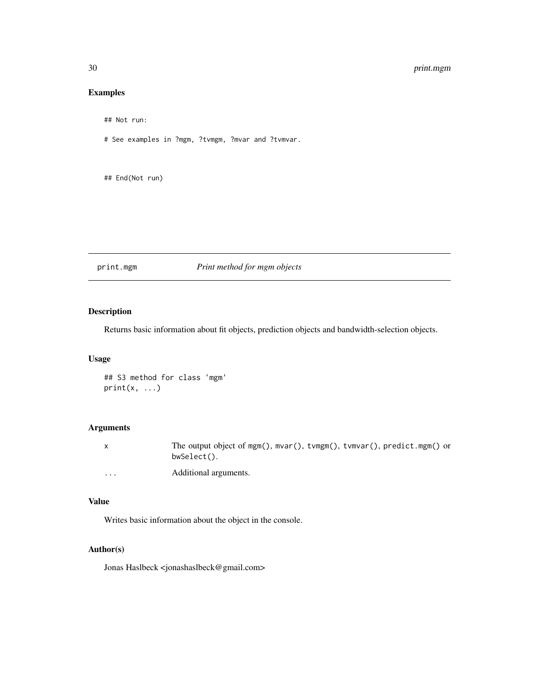#### <span id="page-29-0"></span>30 print.mgm

#### Examples

```
## Not run:
```
# See examples in ?mgm, ?tvmgm, ?mvar and ?tvmvar.

## End(Not run)

#### print.mgm *Print method for mgm objects*

#### Description

Returns basic information about fit objects, prediction objects and bandwidth-selection objects.

#### Usage

```
## S3 method for class 'mgm'
print(x, \ldots)
```
#### Arguments

|          | The output object of mgm(), mvar(), tvmgm(), tvmvar(), predict.mgm() or<br>bwSelect(). |
|----------|----------------------------------------------------------------------------------------|
| $\cdots$ | Additional arguments.                                                                  |

#### Value

Writes basic information about the object in the console.

#### Author(s)

Jonas Haslbeck <jonashaslbeck@gmail.com>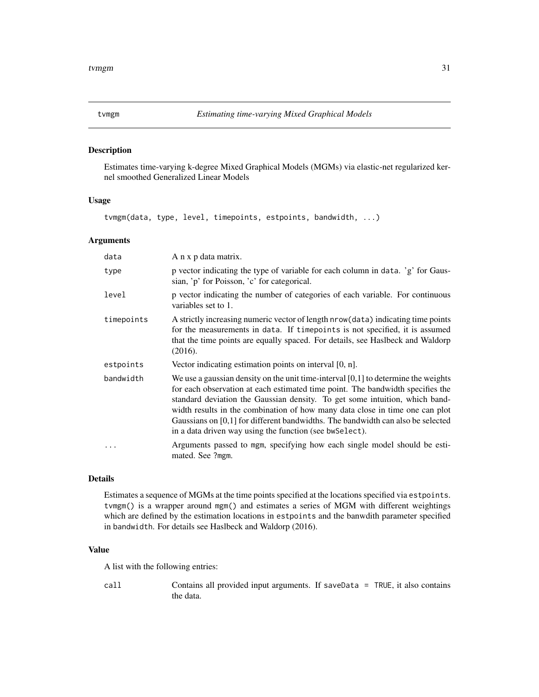<span id="page-30-0"></span>

#### Description

Estimates time-varying k-degree Mixed Graphical Models (MGMs) via elastic-net regularized kernel smoothed Generalized Linear Models

#### Usage

tvmgm(data, type, level, timepoints, estpoints, bandwidth, ...)

#### Arguments

| data       | A n x p data matrix.                                                                                                                                                                                                                                                                                                                                                                                                                                                                   |
|------------|----------------------------------------------------------------------------------------------------------------------------------------------------------------------------------------------------------------------------------------------------------------------------------------------------------------------------------------------------------------------------------------------------------------------------------------------------------------------------------------|
| type       | p vector indicating the type of variable for each column in data. 'g' for Gaus-<br>sian, 'p' for Poisson, 'c' for categorical.                                                                                                                                                                                                                                                                                                                                                         |
| level      | p vector indicating the number of categories of each variable. For continuous<br>variables set to 1.                                                                                                                                                                                                                                                                                                                                                                                   |
| timepoints | A strictly increasing numeric vector of length nrow (data) indicating time points<br>for the measurements in data. If timepoints is not specified, it is assumed<br>that the time points are equally spaced. For details, see Haslbeck and Waldorp<br>(2016).                                                                                                                                                                                                                          |
| estpoints  | Vector indicating estimation points on interval $[0, n]$ .                                                                                                                                                                                                                                                                                                                                                                                                                             |
| bandwidth  | We use a gaussian density on the unit time-interval $[0,1]$ to determine the weights<br>for each observation at each estimated time point. The bandwidth specifies the<br>standard deviation the Gaussian density. To get some intuition, which band-<br>width results in the combination of how many data close in time one can plot<br>Gaussians on $[0,1]$ for different bandwidths. The bandwidth can also be selected<br>in a data driven way using the function (see bw Select). |
|            | Arguments passed to mgm, specifying how each single model should be esti-<br>mated. See ?mgm.                                                                                                                                                                                                                                                                                                                                                                                          |

#### Details

Estimates a sequence of MGMs at the time points specified at the locations specified via estpoints. tvmgm() is a wrapper around mgm() and estimates a series of MGM with different weightings which are defined by the estimation locations in estpoints and the banwdith parameter specified in bandwidth. For details see Haslbeck and Waldorp (2016).

#### Value

A list with the following entries:

call Contains all provided input arguments. If saveData = TRUE, it also contains the data.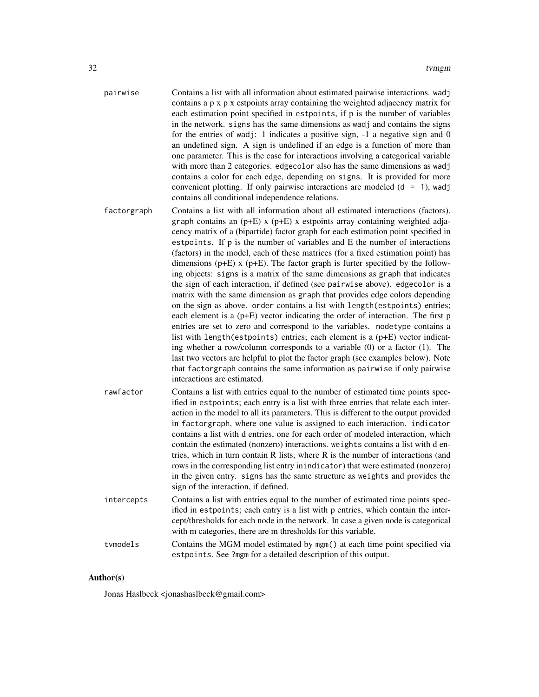- pairwise Contains a list with all information about estimated pairwise interactions. wadj contains a p x p x estpoints array containing the weighted adjacency matrix for each estimation point specified in estpoints, if p is the number of variables in the network. signs has the same dimensions as wadj and contains the signs for the entries of wadj: 1 indicates a positive sign, -1 a negative sign and 0 an undefined sign. A sign is undefined if an edge is a function of more than one parameter. This is the case for interactions involving a categorical variable with more than 2 categories. edgecolor also has the same dimensions as wadj contains a color for each edge, depending on signs. It is provided for more convenient plotting. If only pairwise interactions are modeled  $(d = 1)$ , wadj contains all conditional independence relations.
- factorgraph Contains a list with all information about all estimated interactions (factors). graph contains an  $(p+E)$  x  $(p+E)$  x estpoints array containing weighted adjacency matrix of a (bipartide) factor graph for each estimation point specified in estpoints. If p is the number of variables and E the number of interactions (factors) in the model, each of these matrices (for a fixed estimation point) has dimensions  $(p+E)$  x  $(p+E)$ . The factor graph is furter specified by the following objects: signs is a matrix of the same dimensions as graph that indicates the sign of each interaction, if defined (see pairwise above). edgecolor is a matrix with the same dimension as graph that provides edge colors depending on the sign as above. order contains a list with length(estpoints) entries; each element is a (p+E) vector indicating the order of interaction. The first p entries are set to zero and correspond to the variables. nodetype contains a list with length(estpoints) entries; each element is a  $(p+E)$  vector indicating whether a row/column corresponds to a variable (0) or a factor (1). The last two vectors are helpful to plot the factor graph (see examples below). Note that factorgraph contains the same information as pairwise if only pairwise interactions are estimated.
- rawfactor Contains a list with entries equal to the number of estimated time points specified in estpoints; each entry is a list with three entries that relate each interaction in the model to all its parameters. This is different to the output provided in factorgraph, where one value is assigned to each interaction. indicator contains a list with d entries, one for each order of modeled interaction, which contain the estimated (nonzero) interactions. weights contains a list with d entries, which in turn contain R lists, where R is the number of interactions (and rows in the corresponding list entry inindicator) that were estimated (nonzero) in the given entry. signs has the same structure as weights and provides the sign of the interaction, if defined. intercepts Contains a list with entries equal to the number of estimated time points spec-
- ified in estpoints; each entry is a list with p entries, which contain the intercept/thresholds for each node in the network. In case a given node is categorical with m categories, there are m thresholds for this variable.
- tvmodels Contains the MGM model estimated by mgm() at each time point specified via estpoints. See ?mgm for a detailed description of this output.

#### Author(s)

Jonas Haslbeck <jonashaslbeck@gmail.com>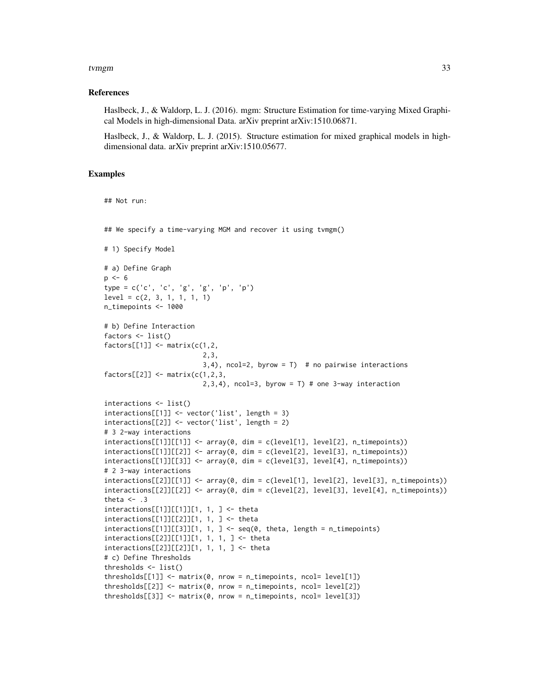#### tvmgm 33

#### References

Haslbeck, J., & Waldorp, L. J. (2016). mgm: Structure Estimation for time-varying Mixed Graphical Models in high-dimensional Data. arXiv preprint arXiv:1510.06871.

Haslbeck, J., & Waldorp, L. J. (2015). Structure estimation for mixed graphical models in highdimensional data. arXiv preprint arXiv:1510.05677.

#### Examples

## Not run:

```
## We specify a time-varying MGM and recover it using tvmgm()
# 1) Specify Model
# a) Define Graph
p \le -6type = c('c', 'c', 'g', 'g', 'p', 'p')
level = c(2, 3, 1, 1, 1, 1)n_timepoints <- 1000
# b) Define Interaction
factors <- list()
factors[[1]] \leftarrow matrix(c(1, 2,2,3,
                          3, 4), ncol=2, byrow = T) # no pairwise interactions
factors[[2]] \leftarrow matrix(c(1,2,3,2,3,4), ncol=3, byrow = T) # one 3-way interaction
interactions <- list()
interactions[[1]] <- vector('list', length = 3)
interactions[[2]] <- vector('list', length = 2)
# 3 2-way interactions
interactions[1][[1]] < - array(0, dim = c(level[1], level[2], n_timepoints))interactions[[1]][[2]] <- array(0, dim = c(level[2], level[3], n_timepoints))
interactions[[1]][[3]] <- array(0, dim = c(level[3], level[4], n_timepoints))
# 2 3-way interactions
interactions[2][1][1] <- array(0, dim = c(level[1], level[2], level[3], n_timepoints))interactions[[2]][[2]] \leq - array(0, dim = c(level[2], level[3], level[4], n_timepoints))theta <-3interactions[[1]][[1]][1, 1, ] <- theta
interactions[[1]][[2]][1, 1, ] <- theta
interactions[1]][[3]][1, 1, ] \leftarrow seq(0, theta, length = n_timepoints)interactions[[2]][[1]][1, 1, 1, ] <- theta
interactions[[2]][[2]][1, 1, 1, ] <- theta
# c) Define Thresholds
thresholds <- list()
thresholds[[1]] \leftarrow matrix(0, nrow = n_timepoints, ncol = level[1])thresholds[[2]] \leftarrow matrix(0, nrow = n_timepoints, ncol = level[2])thresholds[[3]] \leq matrix(0, nrow = n_timepoints, ncol = level[3])
```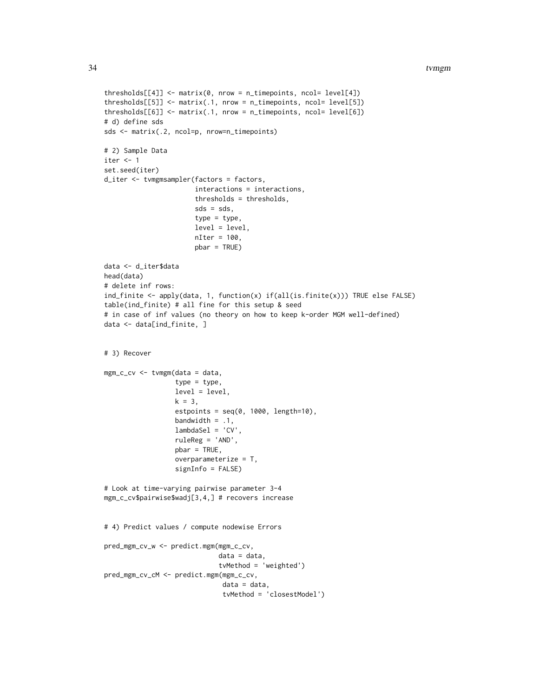#### 34 tvmgm

```
thresholds[[4]] \leftarrow matrix(0, nrow = n_timepoints, ncol = level[4])thresholds[[5]] <- matrix(.1, nrow = n_timepoints, ncol= level[5])
thresholds[[6]] \leftarrow matrix(.1, nrow = n_timepoints, ncol = level[6])# d) define sds
sds <- matrix(.2, ncol=p, nrow=n_timepoints)
# 2) Sample Data
iter < -1set.seed(iter)
d_iter <- tvmgmsampler(factors = factors,
                       interactions = interactions,
                       thresholds = thresholds,
                       sds = sds,
                       type = type,
                       level = level,
                       nIter = 100,
                       pbar = TRUE)
data <- d_iter$data
head(data)
# delete inf rows:
ind_finite <- apply(data, 1, function(x) if(all(is.finite(x))) TRUE else FALSE)
table(ind_finite) # all fine for this setup & seed
# in case of inf values (no theory on how to keep k-order MGM well-defined)
data <- data[ind_finite, ]
# 3) Recover
mgm_c_cv <- tvmgm(data = data,
                  type = type,
                  level = level,
                  k = 3,estpoints = seq(0, 1000, length=10),
                  bandwidth = .1,
                  lambdaSel = 'CV',
                  ruleReg = 'AND',
                  pbar = TRUE,
                  overparameterize = T,
                  signInfo = FALSE)
# Look at time-varying pairwise parameter 3-4
mgm_c_cv$pairwise$wadj[3,4,] # recovers increase
# 4) Predict values / compute nodewise Errors
pred_mgm_cv_w <- predict.mgm(mgm_c_cv,
                             data = data,
                             tvMethod = 'weighted')
pred_mgm_cv_cM <- predict.mgm(mgm_c_cv,
                              data = data,
                              tvMethod = 'closestModel')
```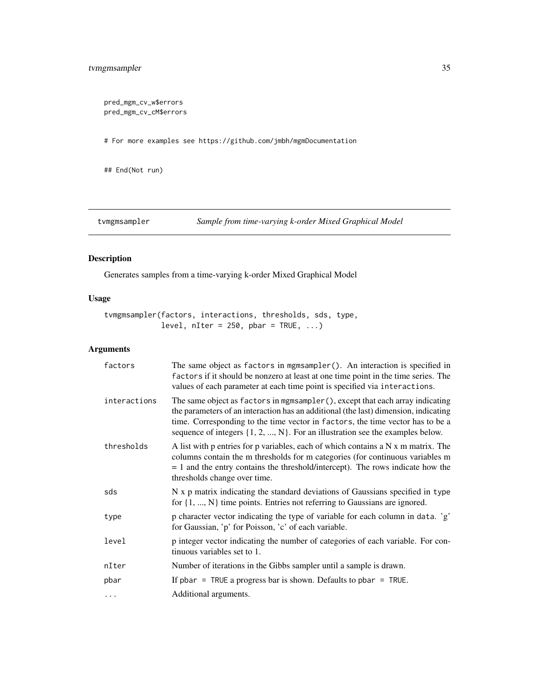#### <span id="page-34-0"></span>tvmgmsampler 35

pred\_mgm\_cv\_w\$errors pred\_mgm\_cv\_cM\$errors

# For more examples see https://github.com/jmbh/mgmDocumentation

## End(Not run)

tvmgmsampler *Sample from time-varying k-order Mixed Graphical Model*

#### Description

Generates samples from a time-varying k-order Mixed Graphical Model

#### Usage

tvmgmsampler(factors, interactions, thresholds, sds, type, level,  $nIter = 250$ ,  $pbar = TRUE$ , ...)

#### Arguments

| factors      | The same object as factors in mgmsampler(). An interaction is specified in<br>factors if it should be nonzero at least at one time point in the time series. The<br>values of each parameter at each time point is specified via interactions.                                                                                               |
|--------------|----------------------------------------------------------------------------------------------------------------------------------------------------------------------------------------------------------------------------------------------------------------------------------------------------------------------------------------------|
| interactions | The same object as factors in mgmsampler(), except that each array indicating<br>the parameters of an interaction has an additional (the last) dimension, indicating<br>time. Corresponding to the time vector in factors, the time vector has to be a<br>sequence of integers $\{1, 2, , N\}$ . For an illustration see the examples below. |
| thresholds   | A list with p entries for p variables, each of which contains a N x m matrix. The<br>columns contain the m thresholds for m categories (for continuous variables m<br>$= 1$ and the entry contains the threshold/intercept). The rows indicate how the<br>thresholds change over time.                                                       |
| sds          | N x p matrix indicating the standard deviations of Gaussians specified in type<br>for $\{1, , N\}$ time points. Entries not referring to Gaussians are ignored.                                                                                                                                                                              |
| type         | p character vector indicating the type of variable for each column in data. 'g'<br>for Gaussian, 'p' for Poisson, 'c' of each variable.                                                                                                                                                                                                      |
| level        | p integer vector indicating the number of categories of each variable. For con-<br>tinuous variables set to 1.                                                                                                                                                                                                                               |
| nIter        | Number of iterations in the Gibbs sampler until a sample is drawn.                                                                                                                                                                                                                                                                           |
| pbar         | If pbar = TRUE a progress bar is shown. Defaults to pbar = TRUE.                                                                                                                                                                                                                                                                             |
| $\cdots$     | Additional arguments.                                                                                                                                                                                                                                                                                                                        |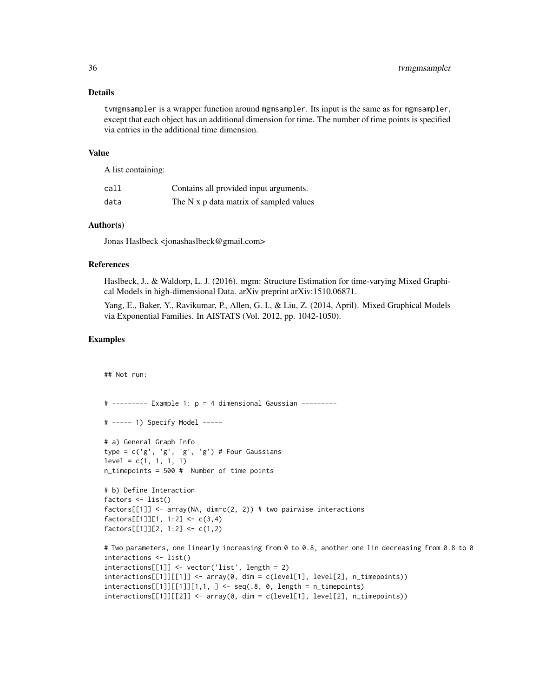#### Details

tvmgmsampler is a wrapper function around mgmsampler. Its input is the same as for mgmsampler, except that each object has an additional dimension for time. The number of time points is specified via entries in the additional time dimension.

#### Value

A list containing:

| call | Contains all provided input arguments.  |
|------|-----------------------------------------|
| data | The N x p data matrix of sampled values |

#### Author(s)

Jonas Haslbeck <jonashaslbeck@gmail.com>

#### References

Haslbeck, J., & Waldorp, L. J. (2016). mgm: Structure Estimation for time-varying Mixed Graphical Models in high-dimensional Data. arXiv preprint arXiv:1510.06871.

Yang, E., Baker, Y., Ravikumar, P., Allen, G. I., & Liu, Z. (2014, April). Mixed Graphical Models via Exponential Families. In AISTATS (Vol. 2012, pp. 1042-1050).

#### Examples

```
## Not run:
# --------- Example 1: p = 4 dimensional Gaussian ---------
# ----- 1) Specify Model -----
# a) General Graph Info
type = c('g', 'g', 'g', 'g') # Four Gaussians
level = c(1, 1, 1, 1)n_timepoints = 500 # Number of time points
# b) Define Interaction
factors <- list()
factors[[1]] \leftarrow array(NA, dim=c(2, 2)) # two pairwise interactionsfactors[[1]][1, 1:2] < -c(3,4)factors[[1]][2, 1:2] <- c(1,2)
# Two parameters, one linearly increasing from 0 to 0.8, another one lin decreasing from 0.8 to 0
interactions <- list()
interactions[[1]] <- vector('list', length = 2)
interactions[[1]][[1]] <- array(0, dim = c(level[1], level[2], n_timepoints))
interactions[[1]][[1]][1,1, ] \leftarrow seq(.8, 0, length = n_timepoints)interactions[1]][[2]] \le - array(0, dim = c(level[1], level[2], n_timepoints))
```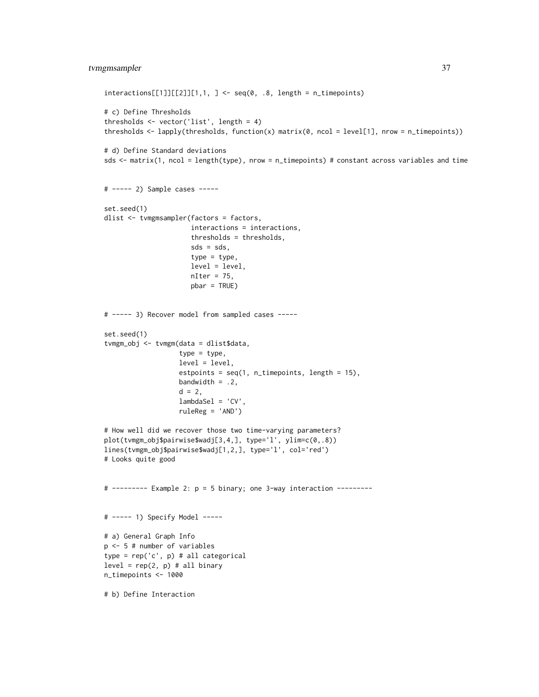#### tvmgmsampler 37

```
interactions[[1]][[2]][1,1, ] \leftarrow seq(0, .8, length = n_timepoints)# c) Define Thresholds
thresholds <- vector('list', length = 4)
thresholds \leq lapply(thresholds, function(x) matrix(0, ncol = level[1], nrow = n_timepoints))
# d) Define Standard deviations
sds <- matrix(1, ncol = length(type), nrow = n_timepoints) # constant across variables and time
# ----- 2) Sample cases -----
set.seed(1)
dlist <- tvmgmsampler(factors = factors,
                      interactions = interactions,
                      thresholds = thresholds,
                      sds = sds,
                      type = type,
                      level = level,
                      nIter = 75,
                      pbar = TRUE)
# ----- 3) Recover model from sampled cases -----
set.seed(1)
tvmgm_obj <- tvmgm(data = dlist$data,
                   type = type,
                   level = level,
                   estpoints = seq(1, n_timepoints, length = 15),
                   bandwidth = .2,
                   d = 2,
                   lambdaSel = 'CV',
                   ruleReg = 'AND')
# How well did we recover those two time-varying parameters?
plot(tvmgm_obj$pairwise$wadj[3,4,], type='l', ylim=c(0,.8))
lines(tvmgm_obj$pairwise$wadj[1,2,], type='l', col='red')
# Looks quite good
# --------- Example 2: p = 5 binary; one 3-way interaction ---------
# ----- 1) Specify Model -----
# a) General Graph Info
p <- 5 # number of variables
type = rep('c', p) # all categorical
level = rep(2, p) # all binaryn_timepoints <- 1000
# b) Define Interaction
```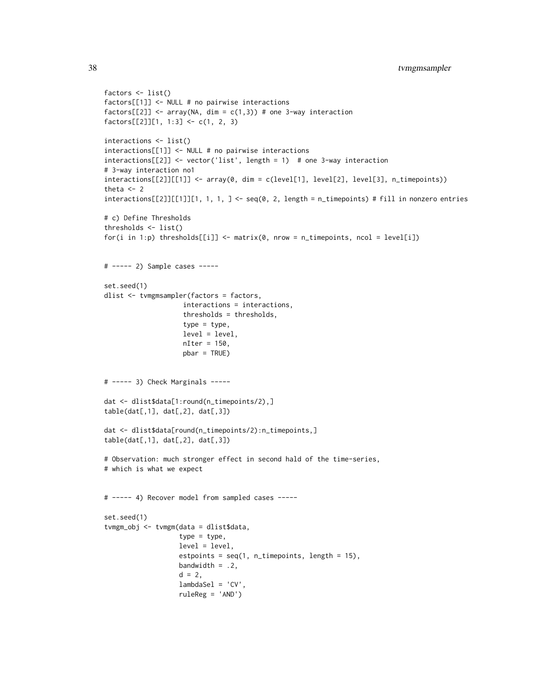```
factors <- list()
factors[[1]] <- NULL # no pairwise interactions
factors[[2]] <- array(NA, dim = c(1,3)) # one 3-way interaction
factors[[2]][1, 1:3] < -c(1, 2, 3)interactions <- list()
interactions[[1]] <- NULL # no pairwise interactions
interactions[[2]] <- vector('list', length = 1) # one 3-way interaction
# 3-way interaction no1
interactions[[2]][[1]] <- array(0, dim = c(level[1], level[2], level[3], n_timepoints))
theta <-2interactions[[2]][[1]][1, 1, 1, ] < -seq(0, 2, length = n_timepoints) # fill in nonzero entries# c) Define Thresholds
thresholds <- list()
for(i in 1:p) thresholds[[i]] <- matrix(0, nrow = n_timepoints, ncol = level[i])
# ----- 2) Sample cases -----
set.seed(1)
dlist <- tvmgmsampler(factors = factors,
                    interactions = interactions,
                    thresholds = thresholds,
                    type = type,
                    level = level,
                    nIter = 150,
                    pbar = TRUE)
# ----- 3) Check Marginals -----
dat <- dlist$data[1:round(n_timepoints/2),]
table(data[, 1], dat[, 2], dat[, 3])dat <- dlist$data[round(n_timepoints/2):n_timepoints,]
table(data[, 1], dat[, 2], dat[, 3])# Observation: much stronger effect in second hald of the time-series,
# which is what we expect
# ----- 4) Recover model from sampled cases -----
set.seed(1)
tvmgm_obj <- tvmgm(data = dlist$data,
                   type = type,
                   level = level,
                   estpoints = seq(1, n_timepoints, length = 15),
                   bandwidth = .2,
                   d = 2,lambdaSel = 'CV',
                   ruleReg = 'AND')
```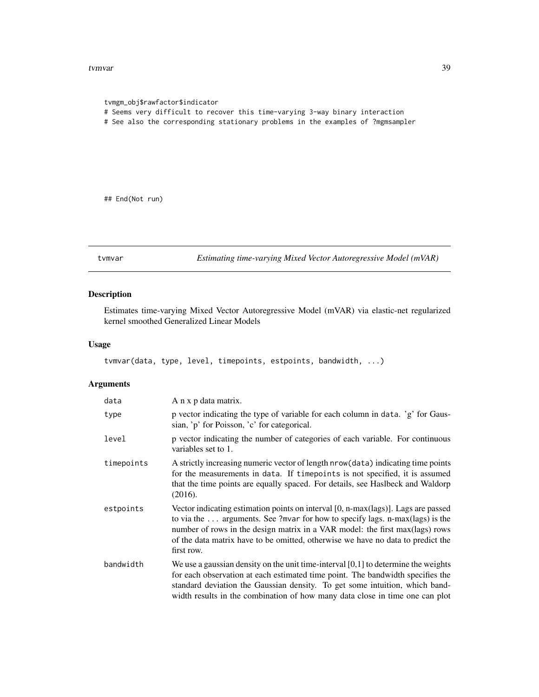#### <span id="page-38-0"></span>tvmvar 39

```
tvmgm_obj$rawfactor$indicator
# Seems very difficult to recover this time-varying 3-way binary interaction
# See also the corresponding stationary problems in the examples of ?mgmsampler
```
## End(Not run)

tvmvar *Estimating time-varying Mixed Vector Autoregressive Model (mVAR)*

#### Description

Estimates time-varying Mixed Vector Autoregressive Model (mVAR) via elastic-net regularized kernel smoothed Generalized Linear Models

#### Usage

tvmvar(data, type, level, timepoints, estpoints, bandwidth, ...)

#### Arguments

| data       | A n x p data matrix.                                                                                                                                                                                                                                                                                                                               |
|------------|----------------------------------------------------------------------------------------------------------------------------------------------------------------------------------------------------------------------------------------------------------------------------------------------------------------------------------------------------|
| type       | p vector indicating the type of variable for each column in data. 'g' for Gaus-<br>sian, 'p' for Poisson, 'c' for categorical.                                                                                                                                                                                                                     |
| level      | p vector indicating the number of categories of each variable. For continuous<br>variables set to 1.                                                                                                                                                                                                                                               |
| timepoints | A strictly increasing numeric vector of length nrow (data) indicating time points<br>for the measurements in data. If timepoints is not specified, it is assumed<br>that the time points are equally spaced. For details, see Haslbeck and Waldorp<br>(2016).                                                                                      |
| estpoints  | Vector indicating estimation points on interval [0, n-max(lags)]. Lags are passed<br>to via the  arguments. See ?mvar for how to specify lags. n-max(lags) is the<br>number of rows in the design matrix in a VAR model: the first max(lags) rows<br>of the data matrix have to be omitted, otherwise we have no data to predict the<br>first row. |
| bandwidth  | We use a gaussian density on the unit time-interval $[0,1]$ to determine the weights<br>for each observation at each estimated time point. The bandwidth specifies the<br>standard deviation the Gaussian density. To get some intuition, which band-<br>width results in the combination of how many data close in time one can plot              |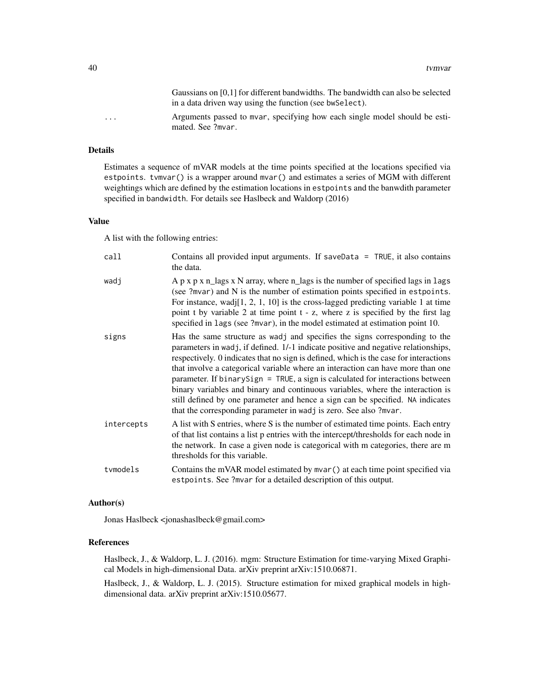Gaussians on [0,1] for different bandwidths. The bandwidth can also be selected in a data driven way using the function (see bwSelect).

... Arguments passed to mvar, specifying how each single model should be estimated. See ?mvar.

#### Details

Estimates a sequence of mVAR models at the time points specified at the locations specified via estpoints. tvmvar() is a wrapper around mvar() and estimates a series of MGM with different weightings which are defined by the estimation locations in estpoints and the banwdith parameter specified in bandwidth. For details see Haslbeck and Waldorp (2016)

#### Value

A list with the following entries:

| call       | Contains all provided input arguments. If saveData = TRUE, it also contains<br>the data.                                                                                                                                                                                                                                                                                                                                                                                                                                                                                                                                                                                  |
|------------|---------------------------------------------------------------------------------------------------------------------------------------------------------------------------------------------------------------------------------------------------------------------------------------------------------------------------------------------------------------------------------------------------------------------------------------------------------------------------------------------------------------------------------------------------------------------------------------------------------------------------------------------------------------------------|
| wadj       | A $p \times p \times n$ lags $x \times N$ array, where $n$ lags is the number of specified lags in lags<br>(see ?mvar) and N is the number of estimation points specified in estpoints.<br>For instance, wadj[1, 2, 1, 10] is the cross-lagged predicting variable 1 at time<br>point t by variable 2 at time point t - z, where z is specified by the first lag<br>specified in lags (see ?mvar), in the model estimated at estimation point 10.                                                                                                                                                                                                                         |
| signs      | Has the same structure as wadj and specifies the signs corresponding to the<br>parameters in wadj, if defined. 1/-1 indicate positive and negative relationships,<br>respectively. 0 indicates that no sign is defined, which is the case for interactions<br>that involve a categorical variable where an interaction can have more than one<br>parameter. If binary Sign = TRUE, a sign is calculated for interactions between<br>binary variables and binary and continuous variables, where the interaction is<br>still defined by one parameter and hence a sign can be specified. NA indicates<br>that the corresponding parameter in wadj is zero. See also ?mvar. |
| intercepts | A list with S entries, where S is the number of estimated time points. Each entry<br>of that list contains a list p entries with the intercept/thresholds for each node in<br>the network. In case a given node is categorical with m categories, there are m<br>thresholds for this variable.                                                                                                                                                                                                                                                                                                                                                                            |
| tymodels   | Contains the mVAR model estimated by mvar () at each time point specified via<br>estpoints. See ? mvar for a detailed description of this output.                                                                                                                                                                                                                                                                                                                                                                                                                                                                                                                         |

#### Author(s)

Jonas Haslbeck <jonashaslbeck@gmail.com>

#### References

Haslbeck, J., & Waldorp, L. J. (2016). mgm: Structure Estimation for time-varying Mixed Graphical Models in high-dimensional Data. arXiv preprint arXiv:1510.06871.

Haslbeck, J., & Waldorp, L. J. (2015). Structure estimation for mixed graphical models in highdimensional data. arXiv preprint arXiv:1510.05677.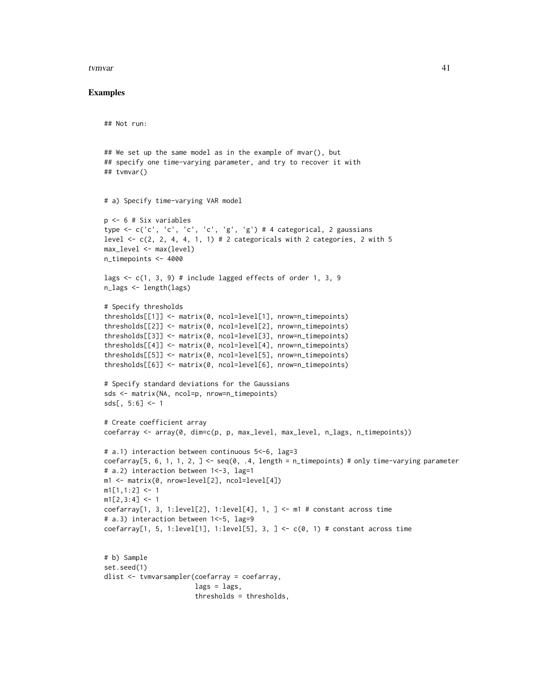#### tvmvar 41

#### Examples

```
## Not run:
## We set up the same model as in the example of mvar(), but
## specify one time-varying parameter, and try to recover it with
## tvmvar()
# a) Specify time-varying VAR model
p <- 6 # Six variables
type <- c('c', 'c', 'c', 'c', 'g', 'g') # 4 categorical, 2 gaussians
level \leq c(2, 2, 4, 4, 1, 1) # 2 categoricals with 2 categories, 2 with 5
max_level <- max(level)
n_timepoints <- 4000
lags \leq c(1, 3, 9) # include lagged effects of order 1, 3, 9
n_lags <- length(lags)
# Specify thresholds
thresholds[[1]] <- matrix(0, ncol=level[1], nrow=n_timepoints)
thresholds[[2]] <- matrix(0, ncol=level[2], nrow=n_timepoints)
thresholds[[3]] <- matrix(0, ncol=level[3], nrow=n_timepoints)
thresholds[[4]] <- matrix(0, ncol=level[4], nrow=n_timepoints)
thresholds[[5]] <- matrix(0, ncol=level[5], nrow=n_timepoints)
thresholds[[6]] <- matrix(0, ncol=level[6], nrow=n_timepoints)
# Specify standard deviations for the Gaussians
sds <- matrix(NA, ncol=p, nrow=n_timepoints)
sds[, 5:6] < -1# Create coefficient array
coefarray <- array(0, dim=c(p, p, max_level, max_level, n_lags, n_timepoints))
# a.1) interaction between continuous 5<-6, lag=3
coefarray[5, 6, 1, 1, 2, \exists <- seq(0, .4, length = n_timepoints) # only time-varying parameter
# a.2) interaction between 1<-3, lag=1
m1 <- matrix(0, nrow=level[2], ncol=level[4])
m1[1,1:2] <- 1
m1[2,3:4] < -1coefarray[1, 3, 1:level[2], 1:level[4], 1, ] \leq -m1 # constant across time
# a.3) interaction between 1 <- 5, lag=9
coefarray[1, 5, 1:level[1], 1:level[5], 3, ] \leftarrow c(\emptyset, 1) # constant across time
# b) Sample
set.seed(1)
dlist <- tvmvarsampler(coefarray = coefarray,
                       lags = lags,thresholds = thresholds,
```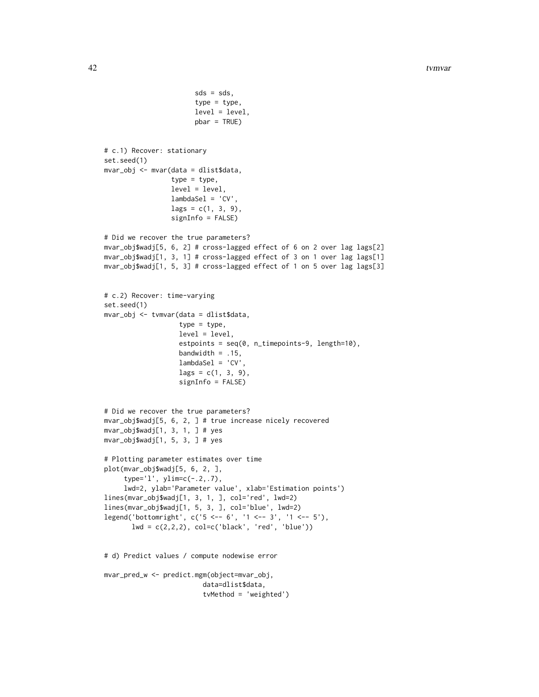```
sds = sds,
                       type = type,
                       level = level,
                       pbar = TRUE)
# c.1) Recover: stationary
set.seed(1)
mvar_obj <- mvar(data = dlist$data,
                 type = type,
                 level = level,
                 lambdaSel = 'CV',
                 lags = c(1, 3, 9),signInfo = FALSE)
# Did we recover the true parameters?
mvar_obj$wadj[5, 6, 2] # cross-lagged effect of 6 on 2 over lag lags[2]
mvar_obj$wadj[1, 3, 1] # cross-lagged effect of 3 on 1 over lag lags[1]
mvar_obj$wadj[1, 5, 3] # cross-lagged effect of 1 on 5 over lag lags[3]
# c.2) Recover: time-varying
set.seed(1)
mvar_obj <- tvmvar(data = dlist$data,
                   type = type,
                   level = level,
                   estpoints = seq(0, n_timepoints-9, length=10),
                   bandwidth = .15,
                   lambdaSel = 'CV',
                   lags = c(1, 3, 9),signInfo = FALSE)
# Did we recover the true parameters?
mvar_obj$wadj[5, 6, 2, ] # true increase nicely recovered
mvar_obj$wadj[1, 3, 1, ] # yes
mvar_obj$wadj[1, 5, 3, ] # yes
# Plotting parameter estimates over time
plot(mvar_obj$wadj[5, 6, 2, ],
     type='l', ylim=c(-.2,.7),
     lwd=2, ylab='Parameter value', xlab='Estimation points')
lines(mvar_obj$wadj[1, 3, 1, ], col='red', lwd=2)
lines(mvar_obj$wadj[1, 5, 3, ], col='blue', lwd=2)
legend('bottomright', c('5 <-- 6', '1 <-- 3', '1 <-- 5'),
       lwd = c(2,2,2), col = c('black', 'red', 'blue'))# d) Predict values / compute nodewise error
mvar_pred_w <- predict.mgm(object=mvar_obj,
                         data=dlist$data,
                         tvMethod = 'weighted')
```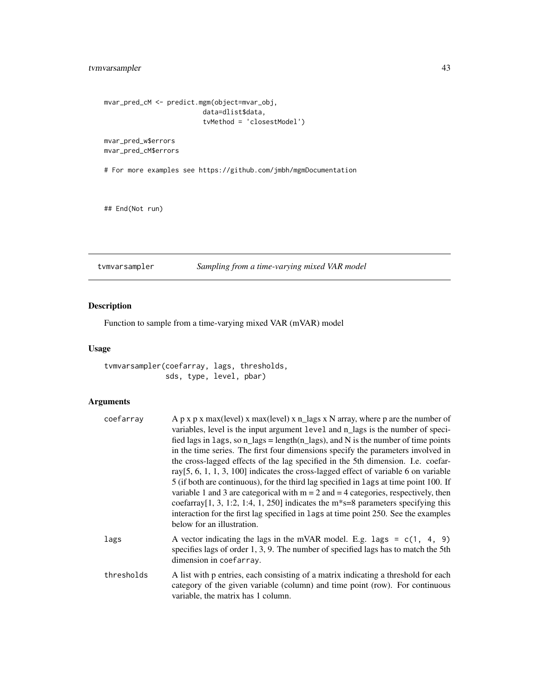#### <span id="page-42-0"></span>tvmvarsampler 43

```
mvar_pred_cM <- predict.mgm(object=mvar_obj,
                         data=dlist$data,
                         tvMethod = 'closestModel')
mvar_pred_w$errors
mvar_pred_cM$errors
# For more examples see https://github.com/jmbh/mgmDocumentation
```
## End(Not run)

tvmvarsampler *Sampling from a time-varying mixed VAR model*

#### Description

Function to sample from a time-varying mixed VAR (mVAR) model

#### Usage

tvmvarsampler(coefarray, lags, thresholds, sds, type, level, pbar)

#### Arguments

| coefarray  | A p x p x max(level) x max(level) x n_lags x N array, where p are the number of<br>variables, level is the input argument level and n_lags is the number of speci-<br>fied lags in lags, so $n$ lags = length $(n$ lags), and N is the number of time points<br>in the time series. The first four dimensions specify the parameters involved in<br>the cross-lagged effects of the lag specified in the 5th dimension. I.e. coefar-<br>ray $[5, 6, 1, 1, 3, 100]$ indicates the cross-lagged effect of variable 6 on variable<br>5 (if both are continuous), for the third lag specified in lags at time point 100. If<br>variable 1 and 3 are categorical with $m = 2$ and $= 4$ categories, respectively, then<br>coefarray [1, 3, 1:2, 1:4, 1, 250] indicates the $m$ <sup>*</sup> s=8 parameters specifying this<br>interaction for the first lag specified in lags at time point 250. See the examples<br>below for an illustration. |  |
|------------|--------------------------------------------------------------------------------------------------------------------------------------------------------------------------------------------------------------------------------------------------------------------------------------------------------------------------------------------------------------------------------------------------------------------------------------------------------------------------------------------------------------------------------------------------------------------------------------------------------------------------------------------------------------------------------------------------------------------------------------------------------------------------------------------------------------------------------------------------------------------------------------------------------------------------------------------|--|
| lags       | A vector indicating the lags in the mVAR model. E.g. lags = $c(1, 4, 9)$<br>specifies lags of order 1, 3, 9. The number of specified lags has to match the 5th<br>dimension in coefarray.                                                                                                                                                                                                                                                                                                                                                                                                                                                                                                                                                                                                                                                                                                                                                  |  |
| thresholds | A list with p entries, each consisting of a matrix indicating a threshold for each<br>category of the given variable (column) and time point (row). For continuous<br>variable, the matrix has 1 column.                                                                                                                                                                                                                                                                                                                                                                                                                                                                                                                                                                                                                                                                                                                                   |  |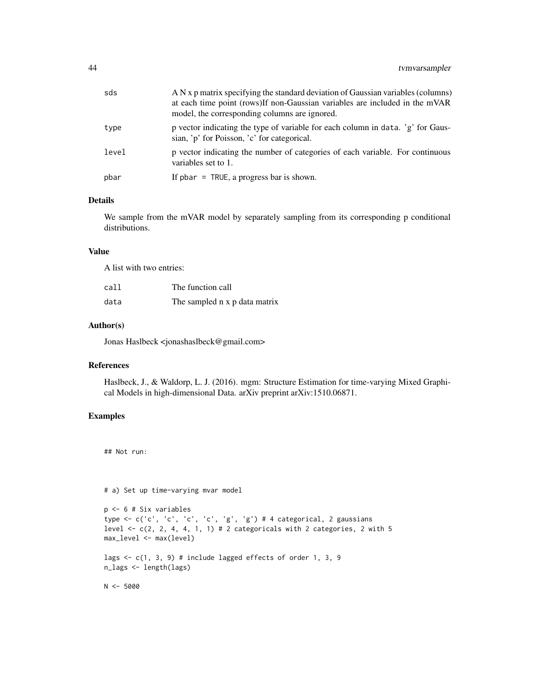| sds   | A N x p matrix specifying the standard deviation of Gaussian variables (columns)<br>at each time point (rows)If non-Gaussian variables are included in the mVAR<br>model, the corresponding columns are ignored. |
|-------|------------------------------------------------------------------------------------------------------------------------------------------------------------------------------------------------------------------|
| type  | p vector indicating the type of variable for each column in data. 'g' for Gaus-<br>sian, 'p' for Poisson, 'c' for categorical.                                                                                   |
| level | p vector indicating the number of categories of each variable. For continuous<br>variables set to 1.                                                                                                             |
| pbar  | If $pbar = TRUE$ , a progress bar is shown.                                                                                                                                                                      |

#### Details

We sample from the mVAR model by separately sampling from its corresponding p conditional distributions.

#### Value

A list with two entries:

| call | The function call             |
|------|-------------------------------|
| data | The sampled n x p data matrix |

#### Author(s)

Jonas Haslbeck <jonashaslbeck@gmail.com>

#### References

Haslbeck, J., & Waldorp, L. J. (2016). mgm: Structure Estimation for time-varying Mixed Graphical Models in high-dimensional Data. arXiv preprint arXiv:1510.06871.

#### Examples

```
## Not run:
```
# a) Set up time-varying mvar model

```
p <- 6 # Six variables
type <- c('c', 'c', 'c', 'c', 'g', 'g') # 4 categorical, 2 gaussians
level \leq c(2, 2, 4, 4, 1, 1) # 2 categoricals with 2 categories, 2 with 5
max_level <- max(level)
```

```
lags <- c(1, 3, 9) # include lagged effects of order 1, 3, 9
n_lags <- length(lags)
```
 $N < -5000$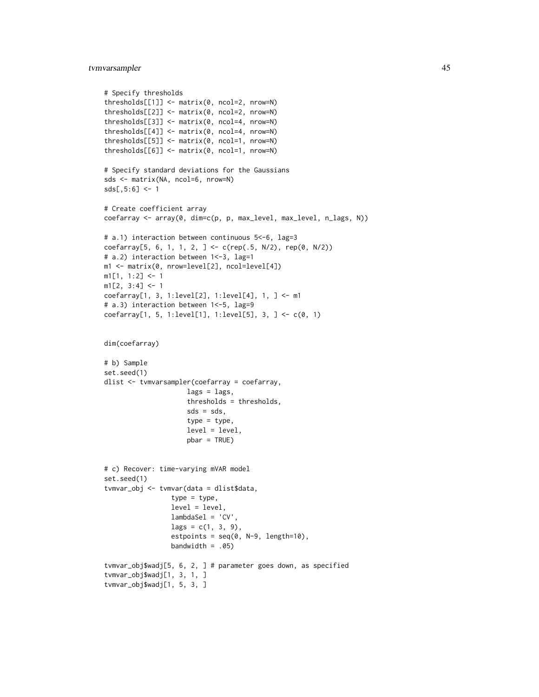#### tvmvarsampler 45

```
# Specify thresholds
thresholds[[1]] <- matrix(0, ncol=2, nrow=N)
thresholds[[2]] <- matrix(0, ncol=2, nrow=N)
thresholds[[3]] <- matrix(0, ncol=4, nrow=N)
thresholds[[4]] <- matrix(0, ncol=4, nrow=N)
thresholds[[5]] <- matrix(0, ncol=1, nrow=N)
thresholds[[6]] <- matrix(0, ncol=1, nrow=N)
# Specify standard deviations for the Gaussians
sds <- matrix(NA, ncol=6, nrow=N)
sds[,5:6] <- 1
# Create coefficient array
coefarray <- array(0, dim=c(p, p, max_level, max_level, n_lags, N))
# a.1) interaction between continuous 5<-6, lag=3
coefarray[5, 6, 1, 1, 2, ] <- c(rep(.5, N/2), rep(0, N/2))
# a.2) interaction between 1<-3, lag=1
m1 <- matrix(0, nrow=level[2], ncol=level[4])
m1[1, 1:2] <- 1
m1[2, 3:4] < -1coefarray[1, 3, 1:level[2], 1:level[4], 1, ] <- m1
# a.3) interaction between 1<-5, lag=9
coefarray[1, 5, 1:level[1], 1:level[5], 3, ] <- c(0, 1)
dim(coefarray)
# b) Sample
set.seed(1)
dlist <- tvmvarsampler(coefarray = coefarray,
                     lags = lags,thresholds = thresholds,
                     sds = sds,
                     type = type,
                     level = level,
                     pbar = TRUE)
# c) Recover: time-varying mVAR model
set.seed(1)
tvmvar_obj <- tvmvar(data = dlist$data,
                 type = type,level = level,
                 lambdaSel = 'CV',
                 lags = c(1, 3, 9),estpoints = seq(0, N-9, length=10),
                 bandwidth = .05)
tvmvar_obj$wadj[5, 6, 2, ] # parameter goes down, as specified
tvmvar_obj$wadj[1, 3, 1, ]
tvmvar_obj$wadj[1, 5, 3, ]
```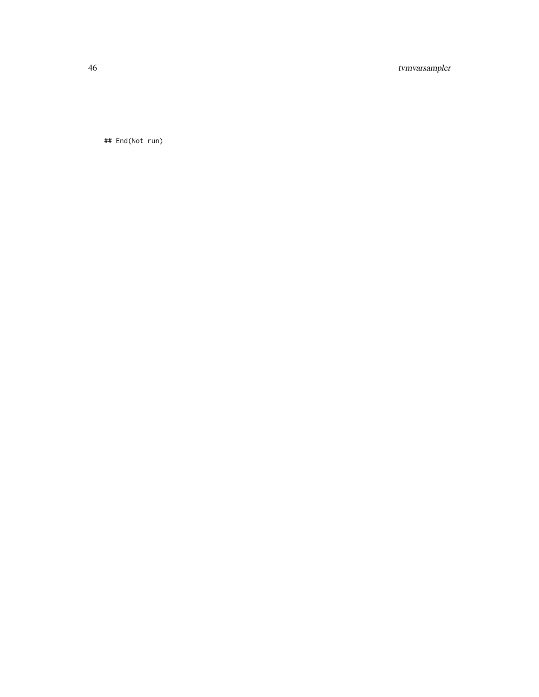#### 46 tvmvarsampler

## End(Not run)